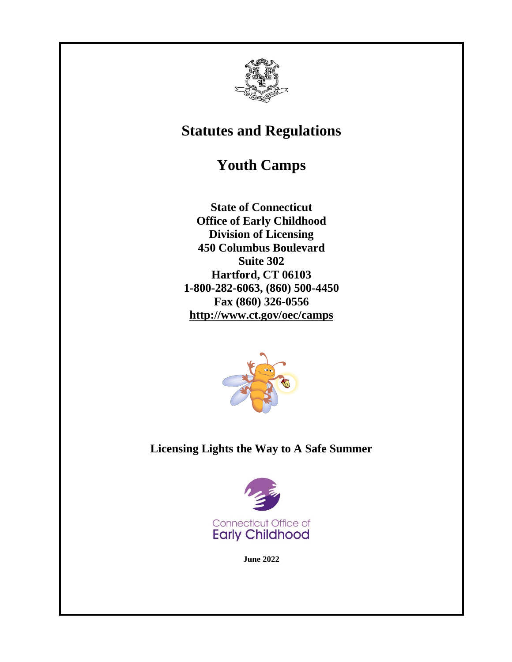

# **Statutes and Regulations**

# **Youth Camps**

**State of Connecticut Office of Early Childhood Division of Licensing 450 Columbus Boulevard Suite 302 Hartford, CT 06103 1-800-282-6063, (860) 500-4450 Fax (860) 326-0556 http://www.ct.gov/oec/camps**



**Licensing Lights the Way to A Safe Summer**



**June 2022**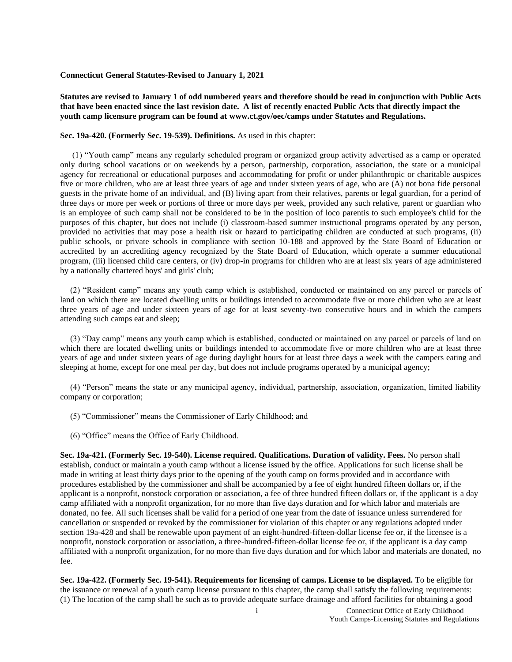#### **Connecticut General Statutes-Revised to January 1, 2021**

**Statutes are revised to January 1 of odd numbered years and therefore should be read in conjunction with Public Acts that have been enacted since the last revision date. A list of recently enacted Public Acts that directly impact the youth camp licensure program can be found at www.ct.gov/oec/camps under Statutes and Regulations.**

#### **Sec. 19a-420. (Formerly Sec. 19-539). Definitions.** As used in this chapter:

(1) "Youth camp" means any regularly scheduled program or organized group activity advertised as a camp or operated only during school vacations or on weekends by a person, partnership, corporation, association, the state or a municipal agency for recreational or educational purposes and accommodating for profit or under philanthropic or charitable auspices five or more children, who are at least three years of age and under sixteen years of age, who are (A) not bona fide personal guests in the private home of an individual, and (B) living apart from their relatives, parents or legal guardian, for a period of three days or more per week or portions of three or more days per week, provided any such relative, parent or guardian who is an employee of such camp shall not be considered to be in the position of loco parentis to such employee's child for the purposes of this chapter, but does not include (i) classroom-based summer instructional programs operated by any person, provided no activities that may pose a health risk or hazard to participating children are conducted at such programs, (ii) public schools, or private schools in compliance with section 10-188 and approved by the State Board of Education or accredited by an accrediting agency recognized by the State Board of Education, which operate a summer educational program, (iii) licensed child care centers, or (iv) drop-in programs for children who are at least six years of age administered by a nationally chartered boys' and girls' club;

(2) "Resident camp" means any youth camp which is established, conducted or maintained on any parcel or parcels of land on which there are located dwelling units or buildings intended to accommodate five or more children who are at least three years of age and under sixteen years of age for at least seventy-two consecutive hours and in which the campers attending such camps eat and sleep;

(3) "Day camp" means any youth camp which is established, conducted or maintained on any parcel or parcels of land on which there are located dwelling units or buildings intended to accommodate five or more children who are at least three years of age and under sixteen years of age during daylight hours for at least three days a week with the campers eating and sleeping at home, except for one meal per day, but does not include programs operated by a municipal agency;

(4) "Person" means the state or any municipal agency, individual, partnership, association, organization, limited liability company or corporation;

- (5) "Commissioner" means the Commissioner of Early Childhood; and
- (6) "Office" means the Office of Early Childhood.

**Sec. 19a-421. (Formerly Sec. 19-540). License required. Qualifications. Duration of validity. Fees.** No person shall establish, conduct or maintain a youth camp without a license issued by the office. Applications for such license shall be made in writing at least thirty days prior to the opening of the youth camp on forms provided and in accordance with procedures established by the commissioner and shall be accompanied by a fee of eight hundred fifteen dollars or, if the applicant is a nonprofit, nonstock corporation or association, a fee of three hundred fifteen dollars or, if the applicant is a day camp affiliated with a nonprofit organization, for no more than five days duration and for which labor and materials are donated, no fee. All such licenses shall be valid for a period of one year from the date of issuance unless surrendered for cancellation or suspended or revoked by the commissioner for violation of this chapter or any regulations adopted under section 19a-428 and shall be renewable upon payment of an eight-hundred-fifteen-dollar license fee or, if the licensee is a nonprofit, nonstock corporation or association, a three-hundred-fifteen-dollar license fee or, if the applicant is a day camp affiliated with a nonprofit organization, for no more than five days duration and for which labor and materials are donated, no fee.

**Sec. 19a-422. (Formerly Sec. 19-541). Requirements for licensing of camps. License to be displayed.** To be eligible for the issuance or renewal of a youth camp license pursuant to this chapter, the camp shall satisfy the following requirements: (1) The location of the camp shall be such as to provide adequate surface drainage and afford facilities for obtaining a good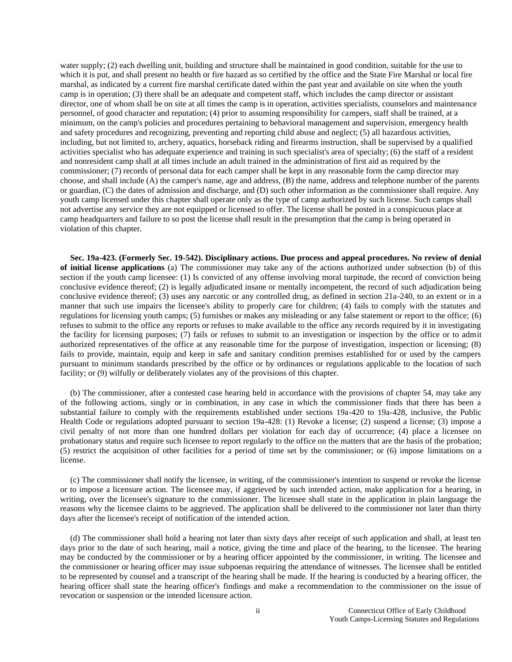water supply; (2) each dwelling unit, building and structure shall be maintained in good condition, suitable for the use to which it is put, and shall present no health or fire hazard as so certified by the office and the State Fire Marshal or local fire marshal, as indicated by a current fire marshal certificate dated within the past year and available on site when the youth camp is in operation; (3) there shall be an adequate and competent staff, which includes the camp director or assistant director, one of whom shall be on site at all times the camp is in operation, activities specialists, counselors and maintenance personnel, of good character and reputation; (4) prior to assuming responsibility for campers, staff shall be trained, at a minimum, on the camp's policies and procedures pertaining to behavioral management and supervision, emergency health and safety procedures and recognizing, preventing and reporting child abuse and neglect; (5) all hazardous activities, including, but not limited to, archery, aquatics, horseback riding and firearms instruction, shall be supervised by a qualified activities specialist who has adequate experience and training in such specialist's area of specialty; (6) the staff of a resident and nonresident camp shall at all times include an adult trained in the administration of first aid as required by the commissioner; (7) records of personal data for each camper shall be kept in any reasonable form the camp director may choose, and shall include (A) the camper's name, age and address, (B) the name, address and telephone number of the parents or guardian, (C) the dates of admission and discharge, and (D) such other information as the commissioner shall require. Any youth camp licensed under this chapter shall operate only as the type of camp authorized by such license. Such camps shall not advertise any service they are not equipped or licensed to offer. The license shall be posted in a conspicuous place at camp headquarters and failure to so post the license shall result in the presumption that the camp is being operated in violation of this chapter.

**Sec. 19a-423. (Formerly Sec. 19-542). Disciplinary actions. Due process and appeal procedures. No review of denial of initial license applications** (a) The commissioner may take any of the actions authorized under subsection (b) of this section if the youth camp licensee: (1) Is convicted of any offense involving moral turpitude, the record of conviction being conclusive evidence thereof; (2) is legally adjudicated insane or mentally incompetent, the record of such adjudication being conclusive evidence thereof; (3) uses any narcotic or any controlled drug, as defined in section 21a-240, to an extent or in a manner that such use impairs the licensee's ability to properly care for children; (4) fails to comply with the statutes and regulations for licensing youth camps; (5) furnishes or makes any misleading or any false statement or report to the office; (6) refuses to submit to the office any reports or refuses to make available to the office any records required by it in investigating the facility for licensing purposes; (7) fails or refuses to submit to an investigation or inspection by the office or to admit authorized representatives of the office at any reasonable time for the purpose of investigation, inspection or licensing; (8) fails to provide, maintain, equip and keep in safe and sanitary condition premises established for or used by the campers pursuant to minimum standards prescribed by the office or by ordinances or regulations applicable to the location of such facility; or (9) wilfully or deliberately violates any of the provisions of this chapter.

(b) The commissioner, after a contested case hearing held in accordance with the provisions of chapter 54, may take any of the following actions, singly or in combination, in any case in which the commissioner finds that there has been a substantial failure to comply with the requirements established under sections 19a-420 to 19a-428, inclusive, the Public Health Code or regulations adopted pursuant to section 19a-428: (1) Revoke a license; (2) suspend a license; (3) impose a civil penalty of not more than one hundred dollars per violation for each day of occurrence; (4) place a licensee on probationary status and require such licensee to report regularly to the office on the matters that are the basis of the probation; (5) restrict the acquisition of other facilities for a period of time set by the commissioner; or (6) impose limitations on a license.

(c) The commissioner shall notify the licensee, in writing, of the commissioner's intention to suspend or revoke the license or to impose a licensure action. The licensee may, if aggrieved by such intended action, make application for a hearing, in writing, over the licensee's signature to the commissioner. The licensee shall state in the application in plain language the reasons why the licensee claims to be aggrieved. The application shall be delivered to the commissioner not later than thirty days after the licensee's receipt of notification of the intended action.

(d) The commissioner shall hold a hearing not later than sixty days after receipt of such application and shall, at least ten days prior to the date of such hearing, mail a notice, giving the time and place of the hearing, to the licensee. The hearing may be conducted by the commissioner or by a hearing officer appointed by the commissioner, in writing. The licensee and the commissioner or hearing officer may issue subpoenas requiring the attendance of witnesses. The licensee shall be entitled to be represented by counsel and a transcript of the hearing shall be made. If the hearing is conducted by a hearing officer, the hearing officer shall state the hearing officer's findings and make a recommendation to the commissioner on the issue of revocation or suspension or the intended licensure action.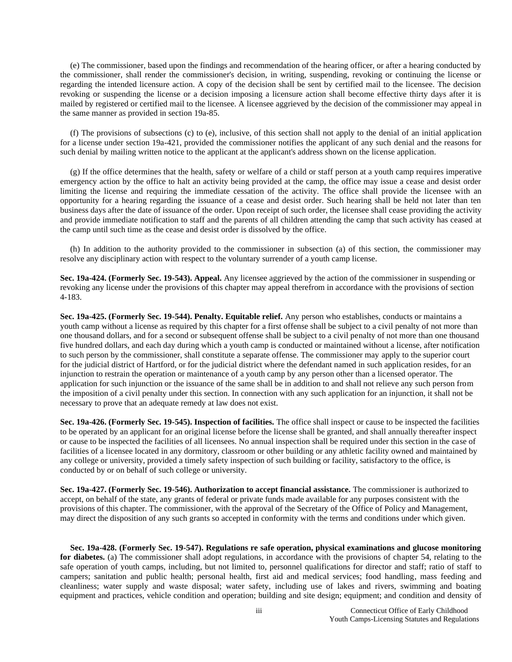(e) The commissioner, based upon the findings and recommendation of the hearing officer, or after a hearing conducted by the commissioner, shall render the commissioner's decision, in writing, suspending, revoking or continuing the license or regarding the intended licensure action. A copy of the decision shall be sent by certified mail to the licensee. The decision revoking or suspending the license or a decision imposing a licensure action shall become effective thirty days after it is mailed by registered or certified mail to the licensee. A licensee aggrieved by the decision of the commissioner may appeal in the same manner as provided in section 19a-85.

(f) The provisions of subsections (c) to (e), inclusive, of this section shall not apply to the denial of an initial application for a license under section 19a-421, provided the commissioner notifies the applicant of any such denial and the reasons for such denial by mailing written notice to the applicant at the applicant's address shown on the license application.

(g) If the office determines that the health, safety or welfare of a child or staff person at a youth camp requires imperative emergency action by the office to halt an activity being provided at the camp, the office may issue a cease and desist order limiting the license and requiring the immediate cessation of the activity. The office shall provide the licensee with an opportunity for a hearing regarding the issuance of a cease and desist order. Such hearing shall be held not later than ten business days after the date of issuance of the order. Upon receipt of such order, the licensee shall cease providing the activity and provide immediate notification to staff and the parents of all children attending the camp that such activity has ceased at the camp until such time as the cease and desist order is dissolved by the office.

(h) In addition to the authority provided to the commissioner in subsection (a) of this section, the commissioner may resolve any disciplinary action with respect to the voluntary surrender of a youth camp license.

**Sec. 19a-424. (Formerly Sec. 19-543). Appeal.** Any licensee aggrieved by the action of the commissioner in suspending or revoking any license under the provisions of this chapter may appeal therefrom in accordance with the provisions of section 4-183.

**Sec. 19a-425. (Formerly Sec. 19-544). Penalty. Equitable relief.** Any person who establishes, conducts or maintains a youth camp without a license as required by this chapter for a first offense shall be subject to a civil penalty of not more than one thousand dollars, and for a second or subsequent offense shall be subject to a civil penalty of not more than one thousand five hundred dollars, and each day during which a youth camp is conducted or maintained without a license, after notification to such person by the commissioner, shall constitute a separate offense. The commissioner may apply to the superior court for the judicial district of Hartford, or for the judicial district where the defendant named in such application resides, for an injunction to restrain the operation or maintenance of a youth camp by any person other than a licensed operator. The application for such injunction or the issuance of the same shall be in addition to and shall not relieve any such person from the imposition of a civil penalty under this section. In connection with any such application for an injunction, it shall not be necessary to prove that an adequate remedy at law does not exist.

**Sec. 19a-426. (Formerly Sec. 19-545). Inspection of facilities.** The office shall inspect or cause to be inspected the facilities to be operated by an applicant for an original license before the license shall be granted, and shall annually thereafter inspect or cause to be inspected the facilities of all licensees. No annual inspection shall be required under this section in the case of facilities of a licensee located in any dormitory, classroom or other building or any athletic facility owned and maintained by any college or university, provided a timely safety inspection of such building or facility, satisfactory to the office, is conducted by or on behalf of such college or university.

**Sec. 19a-427. (Formerly Sec. 19-546). Authorization to accept financial assistance.** The commissioner is authorized to accept, on behalf of the state, any grants of federal or private funds made available for any purposes consistent with the provisions of this chapter. The commissioner, with the approval of the Secretary of the Office of Policy and Management, may direct the disposition of any such grants so accepted in conformity with the terms and conditions under which given.

**Sec. 19a-428. (Formerly Sec. 19-547). Regulations re safe operation, physical examinations and glucose monitoring for diabetes.** (a) The commissioner shall adopt regulations, in accordance with the provisions of chapter 54, relating to the safe operation of youth camps, including, but not limited to, personnel qualifications for director and staff; ratio of staff to campers; sanitation and public health; personal health, first aid and medical services; food handling, mass feeding and cleanliness; water supply and waste disposal; water safety, including use of lakes and rivers, swimming and boating equipment and practices, vehicle condition and operation; building and site design; equipment; and condition and density of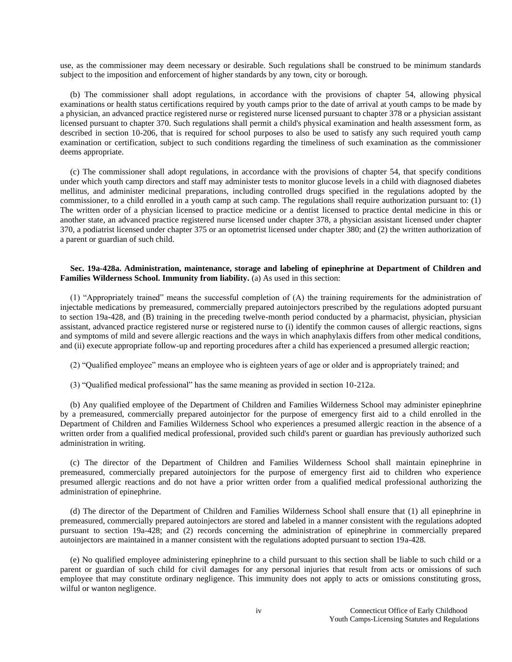use, as the commissioner may deem necessary or desirable. Such regulations shall be construed to be minimum standards subject to the imposition and enforcement of higher standards by any town, city or borough.

(b) The commissioner shall adopt regulations, in accordance with the provisions of chapter 54, allowing physical examinations or health status certifications required by youth camps prior to the date of arrival at youth camps to be made by a physician, an advanced practice registered nurse or registered nurse licensed pursuant to chapter 378 or a physician assistant licensed pursuant to chapter 370. Such regulations shall permit a child's physical examination and health assessment form, as described in section 10-206, that is required for school purposes to also be used to satisfy any such required youth camp examination or certification, subject to such conditions regarding the timeliness of such examination as the commissioner deems appropriate.

(c) The commissioner shall adopt regulations, in accordance with the provisions of chapter 54, that specify conditions under which youth camp directors and staff may administer tests to monitor glucose levels in a child with diagnosed diabetes mellitus, and administer medicinal preparations, including controlled drugs specified in the regulations adopted by the commissioner, to a child enrolled in a youth camp at such camp. The regulations shall require authorization pursuant to: (1) The written order of a physician licensed to practice medicine or a dentist licensed to practice dental medicine in this or another state, an advanced practice registered nurse licensed under chapter 378, a physician assistant licensed under chapter 370, a podiatrist licensed under chapter 375 or an optometrist licensed under chapter 380; and (2) the written authorization of a parent or guardian of such child.

#### **Sec. 19a-428a. Administration, maintenance, storage and labeling of epinephrine at Department of Children and Families Wilderness School. Immunity from liability.** (a) As used in this section:

(1) "Appropriately trained" means the successful completion of (A) the training requirements for the administration of injectable medications by premeasured, commercially prepared autoinjectors prescribed by the regulations adopted pursuant to section 19a-428, and (B) training in the preceding twelve-month period conducted by a pharmacist, physician, physician assistant, advanced practice registered nurse or registered nurse to (i) identify the common causes of allergic reactions, signs and symptoms of mild and severe allergic reactions and the ways in which anaphylaxis differs from other medical conditions, and (ii) execute appropriate follow-up and reporting procedures after a child has experienced a presumed allergic reaction;

(2) "Qualified employee" means an employee who is eighteen years of age or older and is appropriately trained; and

(3) "Qualified medical professional" has the same meaning as provided in section 10-212a.

(b) Any qualified employee of the Department of Children and Families Wilderness School may administer epinephrine by a premeasured, commercially prepared autoinjector for the purpose of emergency first aid to a child enrolled in the Department of Children and Families Wilderness School who experiences a presumed allergic reaction in the absence of a written order from a qualified medical professional, provided such child's parent or guardian has previously authorized such administration in writing.

(c) The director of the Department of Children and Families Wilderness School shall maintain epinephrine in premeasured, commercially prepared autoinjectors for the purpose of emergency first aid to children who experience presumed allergic reactions and do not have a prior written order from a qualified medical professional authorizing the administration of epinephrine.

(d) The director of the Department of Children and Families Wilderness School shall ensure that (1) all epinephrine in premeasured, commercially prepared autoinjectors are stored and labeled in a manner consistent with the regulations adopted pursuant to section 19a-428; and (2) records concerning the administration of epinephrine in commercially prepared autoinjectors are maintained in a manner consistent with the regulations adopted pursuant to section 19a-428.

(e) No qualified employee administering epinephrine to a child pursuant to this section shall be liable to such child or a parent or guardian of such child for civil damages for any personal injuries that result from acts or omissions of such employee that may constitute ordinary negligence. This immunity does not apply to acts or omissions constituting gross, wilful or wanton negligence.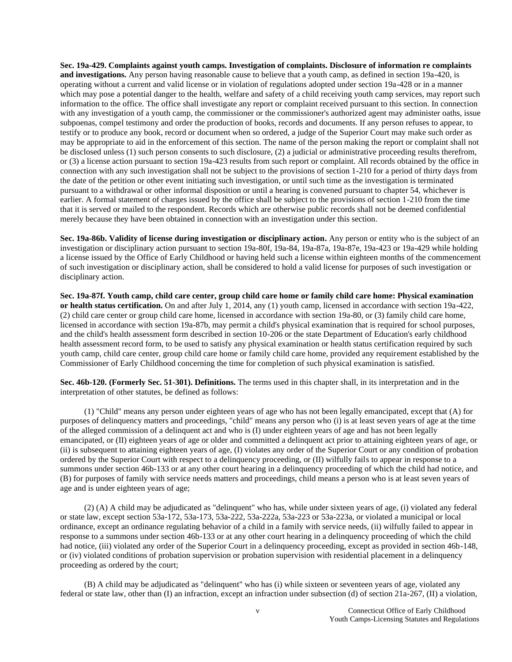**Sec. 19a-429. Complaints against youth camps. Investigation of complaints. Disclosure of information re complaints and investigations.** Any person having reasonable cause to believe that a youth camp, as defined in section 19a-420, is operating without a current and valid license or in violation of regulations adopted under section 19a-428 or in a manner which may pose a potential danger to the health, welfare and safety of a child receiving youth camp services, may report such information to the office. The office shall investigate any report or complaint received pursuant to this section. In connection with any investigation of a youth camp, the commissioner or the commissioner's authorized agent may administer oaths, issue subpoenas, compel testimony and order the production of books, records and documents. If any person refuses to appear, to testify or to produce any book, record or document when so ordered, a judge of the Superior Court may make such order as may be appropriate to aid in the enforcement of this section. The name of the person making the report or complaint shall not be disclosed unless (1) such person consents to such disclosure, (2) a judicial or administrative proceeding results therefrom, or (3) a license action pursuant to section 19a-423 results from such report or complaint. All records obtained by the office in connection with any such investigation shall not be subject to the provisions of section 1-210 for a period of thirty days from the date of the petition or other event initiating such investigation, or until such time as the investigation is terminated pursuant to a withdrawal or other informal disposition or until a hearing is convened pursuant to chapter 54, whichever is earlier. A formal statement of charges issued by the office shall be subject to the provisions of section 1-210 from the time that it is served or mailed to the respondent. Records which are otherwise public records shall not be deemed confidential merely because they have been obtained in connection with an investigation under this section.

**Sec. 19a-86b. Validity of license during investigation or disciplinary action.** Any person or entity who is the subject of an investigation or disciplinary action pursuant to section 19a-80f, 19a-84, 19a-87a, 19a-87e, 19a-423 or 19a-429 while holding a license issued by the Office of Early Childhood or having held such a license within eighteen months of the commencement of such investigation or disciplinary action, shall be considered to hold a valid license for purposes of such investigation or disciplinary action.

**Sec. 19a-87f. Youth camp, child care center, group child care home or family child care home: Physical examination or health status certification.** On and after July 1, 2014, any (1) youth camp, licensed in accordance with section 19a-422, (2) child care center or group child care home, licensed in accordance with section 19a-80, or (3) family child care home, licensed in accordance with section 19a-87b, may permit a child's physical examination that is required for school purposes, and the child's health assessment form described in section 10-206 or the state Department of Education's early childhood health assessment record form, to be used to satisfy any physical examination or health status certification required by such youth camp, child care center, group child care home or family child care home, provided any requirement established by the Commissioner of Early Childhood concerning the time for completion of such physical examination is satisfied.

**Sec. 46b-120. (Formerly Sec. 51-301). Definitions.** The terms used in this chapter shall, in its interpretation and in the interpretation of other statutes, be defined as follows:

(1) "Child" means any person under eighteen years of age who has not been legally emancipated, except that (A) for purposes of delinquency matters and proceedings, "child" means any person who (i) is at least seven years of age at the time of the alleged commission of a delinquent act and who is (I) under eighteen years of age and has not been legally emancipated, or (II) eighteen years of age or older and committed a delinquent act prior to attaining eighteen years of age, or (ii) is subsequent to attaining eighteen years of age, (I) violates any order of the Superior Court or any condition of probation ordered by the Superior Court with respect to a delinquency proceeding, or (II) wilfully fails to appear in response to a summons under section 46b-133 or at any other court hearing in a delinquency proceeding of which the child had notice, and (B) for purposes of family with service needs matters and proceedings, child means a person who is at least seven years of age and is under eighteen years of age;

(2) (A) A child may be adjudicated as "delinquent" who has, while under sixteen years of age, (i) violated any federal or state law, except section 53a-172, 53a-173, 53a-222, 53a-222a, 53a-223 or 53a-223a, or violated a municipal or local ordinance, except an ordinance regulating behavior of a child in a family with service needs, (ii) wilfully failed to appear in response to a summons under section 46b-133 or at any other court hearing in a delinquency proceeding of which the child had notice, (iii) violated any order of the Superior Court in a delinquency proceeding, except as provided in section 46b-148, or (iv) violated conditions of probation supervision or probation supervision with residential placement in a delinquency proceeding as ordered by the court;

(B) A child may be adjudicated as "delinquent" who has (i) while sixteen or seventeen years of age, violated any federal or state law, other than (I) an infraction, except an infraction under subsection (d) of section 21a-267, (II) a violation,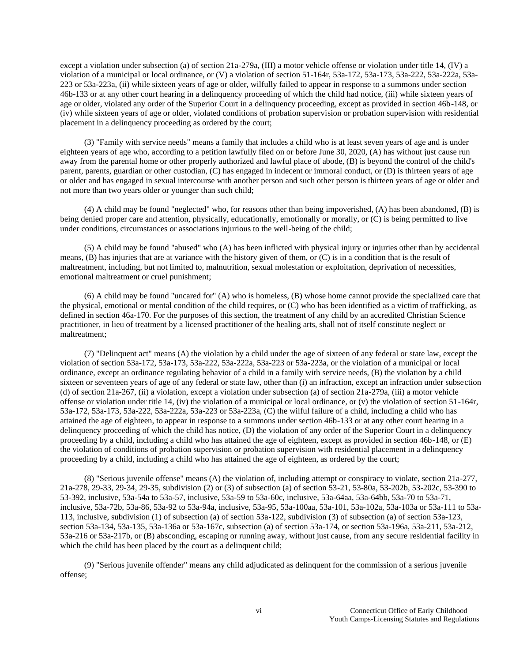except a violation under subsection (a) of section 21a-279a, (III) a motor vehicle offense or violation under title 14, (IV) a violation of a municipal or local ordinance, or (V) a violation of section 51-164r, 53a-172, 53a-173, 53a-222, 53a-222a, 53a-223 or 53a-223a, (ii) while sixteen years of age or older, wilfully failed to appear in response to a summons under section 46b-133 or at any other court hearing in a delinquency proceeding of which the child had notice, (iii) while sixteen years of age or older, violated any order of the Superior Court in a delinquency proceeding, except as provided in section 46b-148, or (iv) while sixteen years of age or older, violated conditions of probation supervision or probation supervision with residential placement in a delinquency proceeding as ordered by the court;

(3) "Family with service needs" means a family that includes a child who is at least seven years of age and is under eighteen years of age who, according to a petition lawfully filed on or before June 30, 2020, (A) has without just cause run away from the parental home or other properly authorized and lawful place of abode, (B) is beyond the control of the child's parent, parents, guardian or other custodian, (C) has engaged in indecent or immoral conduct, or (D) is thirteen years of age or older and has engaged in sexual intercourse with another person and such other person is thirteen years of age or older and not more than two years older or younger than such child;

(4) A child may be found "neglected" who, for reasons other than being impoverished, (A) has been abandoned, (B) is being denied proper care and attention, physically, educationally, emotionally or morally, or (C) is being permitted to live under conditions, circumstances or associations injurious to the well-being of the child;

(5) A child may be found "abused" who (A) has been inflicted with physical injury or injuries other than by accidental means, (B) has injuries that are at variance with the history given of them, or (C) is in a condition that is the result of maltreatment, including, but not limited to, malnutrition, sexual molestation or exploitation, deprivation of necessities, emotional maltreatment or cruel punishment;

(6) A child may be found "uncared for" (A) who is homeless, (B) whose home cannot provide the specialized care that the physical, emotional or mental condition of the child requires, or (C) who has been identified as a victim of trafficking, as defined in section 46a-170. For the purposes of this section, the treatment of any child by an accredited Christian Science practitioner, in lieu of treatment by a licensed practitioner of the healing arts, shall not of itself constitute neglect or maltreatment;

(7) "Delinquent act" means (A) the violation by a child under the age of sixteen of any federal or state law, except the violation of section 53a-172, 53a-173, 53a-222, 53a-222a, 53a-223 or 53a-223a, or the violation of a municipal or local ordinance, except an ordinance regulating behavior of a child in a family with service needs, (B) the violation by a child sixteen or seventeen years of age of any federal or state law, other than (i) an infraction, except an infraction under subsection (d) of section 21a-267, (ii) a violation, except a violation under subsection (a) of section 21a-279a, (iii) a motor vehicle offense or violation under title 14, (iv) the violation of a municipal or local ordinance, or (v) the violation of section 51-164r, 53a-172, 53a-173, 53a-222, 53a-222a, 53a-223 or 53a-223a, (C) the wilful failure of a child, including a child who has attained the age of eighteen, to appear in response to a summons under section 46b-133 or at any other court hearing in a delinquency proceeding of which the child has notice, (D) the violation of any order of the Superior Court in a delinquency proceeding by a child, including a child who has attained the age of eighteen, except as provided in section 46b-148, or (E) the violation of conditions of probation supervision or probation supervision with residential placement in a delinquency proceeding by a child, including a child who has attained the age of eighteen, as ordered by the court;

(8) "Serious juvenile offense" means (A) the violation of, including attempt or conspiracy to violate, section 21a-277, 21a-278, 29-33, 29-34, 29-35, subdivision (2) or (3) of subsection (a) of section 53-21, 53-80a, 53-202b, 53-202c, 53-390 to 53-392, inclusive, 53a-54a to 53a-57, inclusive, 53a-59 to 53a-60c, inclusive, 53a-64aa, 53a-64bb, 53a-70 to 53a-71, inclusive, 53a-72b, 53a-86, 53a-92 to 53a-94a, inclusive, 53a-95, 53a-100aa, 53a-101, 53a-102a, 53a-103a or 53a-111 to 53a-113, inclusive, subdivision (1) of subsection (a) of section 53a-122, subdivision (3) of subsection (a) of section 53a-123, section 53a-134, 53a-135, 53a-136a or 53a-167c, subsection (a) of section 53a-174, or section 53a-196a, 53a-211, 53a-212, 53a-216 or 53a-217b, or (B) absconding, escaping or running away, without just cause, from any secure residential facility in which the child has been placed by the court as a delinquent child;

(9) "Serious juvenile offender" means any child adjudicated as delinquent for the commission of a serious juvenile offense;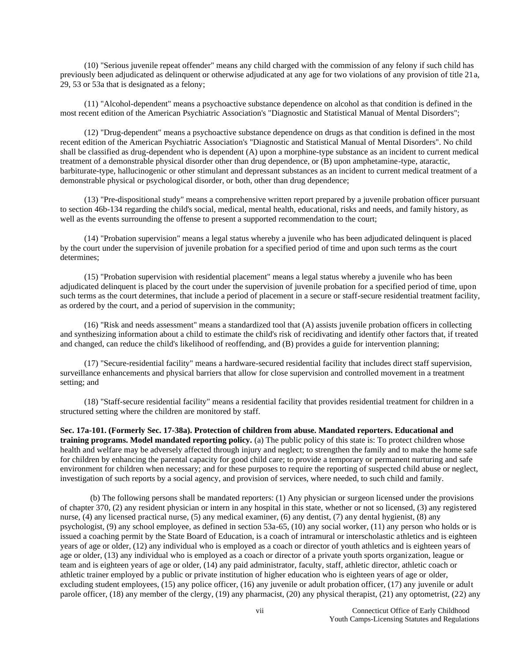(10) "Serious juvenile repeat offender" means any child charged with the commission of any felony if such child has previously been adjudicated as delinquent or otherwise adjudicated at any age for two violations of any provision of title 21a, 29, 53 or 53a that is designated as a felony;

(11) "Alcohol-dependent" means a psychoactive substance dependence on alcohol as that condition is defined in the most recent edition of the American Psychiatric Association's "Diagnostic and Statistical Manual of Mental Disorders";

(12) "Drug-dependent" means a psychoactive substance dependence on drugs as that condition is defined in the most recent edition of the American Psychiatric Association's "Diagnostic and Statistical Manual of Mental Disorders". No child shall be classified as drug-dependent who is dependent (A) upon a morphine-type substance as an incident to current medical treatment of a demonstrable physical disorder other than drug dependence, or (B) upon amphetamine-type, ataractic, barbiturate-type, hallucinogenic or other stimulant and depressant substances as an incident to current medical treatment of a demonstrable physical or psychological disorder, or both, other than drug dependence;

(13) "Pre-dispositional study" means a comprehensive written report prepared by a juvenile probation officer pursuant to section 46b-134 regarding the child's social, medical, mental health, educational, risks and needs, and family history, as well as the events surrounding the offense to present a supported recommendation to the court;

(14) "Probation supervision" means a legal status whereby a juvenile who has been adjudicated delinquent is placed by the court under the supervision of juvenile probation for a specified period of time and upon such terms as the court determines;

(15) "Probation supervision with residential placement" means a legal status whereby a juvenile who has been adjudicated delinquent is placed by the court under the supervision of juvenile probation for a specified period of time, upon such terms as the court determines, that include a period of placement in a secure or staff-secure residential treatment facility, as ordered by the court, and a period of supervision in the community;

(16) "Risk and needs assessment" means a standardized tool that (A) assists juvenile probation officers in collecting and synthesizing information about a child to estimate the child's risk of recidivating and identify other factors that, if treated and changed, can reduce the child's likelihood of reoffending, and (B) provides a guide for intervention planning;

(17) "Secure-residential facility" means a hardware-secured residential facility that includes direct staff supervision, surveillance enhancements and physical barriers that allow for close supervision and controlled movement in a treatment setting; and

(18) "Staff-secure residential facility" means a residential facility that provides residential treatment for children in a structured setting where the children are monitored by staff.

**Sec. 17a-101. (Formerly Sec. 17-38a). Protection of children from abuse. Mandated reporters. Educational and training programs. Model mandated reporting policy.** (a) The public policy of this state is: To protect children whose health and welfare may be adversely affected through injury and neglect; to strengthen the family and to make the home safe for children by enhancing the parental capacity for good child care; to provide a temporary or permanent nurturing and safe environment for children when necessary; and for these purposes to require the reporting of suspected child abuse or neglect, investigation of such reports by a social agency, and provision of services, where needed, to such child and family.

(b) The following persons shall be mandated reporters: (1) Any physician or surgeon licensed under the provisions of chapter 370, (2) any resident physician or intern in any hospital in this state, whether or not so licensed, (3) any registered nurse, (4) any licensed practical nurse, (5) any medical examiner, (6) any dentist, (7) any dental hygienist, (8) any psychologist, (9) any school employee, as defined in section 53a-65, (10) any social worker, (11) any person who holds or is issued a coaching permit by the State Board of Education, is a coach of intramural or interscholastic athletics and is eighteen years of age or older, (12) any individual who is employed as a coach or director of youth athletics and is eighteen years of age or older, (13) any individual who is employed as a coach or director of a private youth sports organization, league or team and is eighteen years of age or older, (14) any paid administrator, faculty, staff, athletic director, athletic coach or athletic trainer employed by a public or private institution of higher education who is eighteen years of age or older, excluding student employees, (15) any police officer, (16) any juvenile or adult probation officer, (17) any juvenile or adult parole officer, (18) any member of the clergy, (19) any pharmacist, (20) any physical therapist, (21) any optometrist, (22) any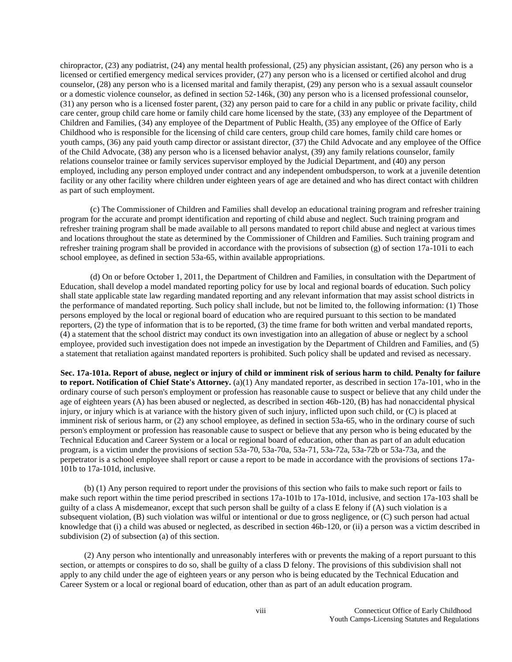chiropractor, (23) any podiatrist, (24) any mental health professional, (25) any physician assistant, (26) any person who is a licensed or certified emergency medical services provider, (27) any person who is a licensed or certified alcohol and drug counselor, (28) any person who is a licensed marital and family therapist, (29) any person who is a sexual assault counselor or a domestic violence counselor, as defined in section 52-146k, (30) any person who is a licensed professional counselor, (31) any person who is a licensed foster parent, (32) any person paid to care for a child in any public or private facility, child care center, group child care home or family child care home licensed by the state, (33) any employee of the Department of Children and Families, (34) any employee of the Department of Public Health, (35) any employee of the Office of Early Childhood who is responsible for the licensing of child care centers, group child care homes, family child care homes or youth camps, (36) any paid youth camp director or assistant director, (37) the Child Advocate and any employee of the Office of the Child Advocate, (38) any person who is a licensed behavior analyst, (39) any family relations counselor, family relations counselor trainee or family services supervisor employed by the Judicial Department, and (40) any person employed, including any person employed under contract and any independent ombudsperson, to work at a juvenile detention facility or any other facility where children under eighteen years of age are detained and who has direct contact with children as part of such employment.

(c) The Commissioner of Children and Families shall develop an educational training program and refresher training program for the accurate and prompt identification and reporting of child abuse and neglect. Such training program and refresher training program shall be made available to all persons mandated to report child abuse and neglect at various times and locations throughout the state as determined by the Commissioner of Children and Families. Such training program and refresher training program shall be provided in accordance with the provisions of subsection (g) of section 17a-101i to each school employee, as defined in section 53a-65, within available appropriations.

(d) On or before October 1, 2011, the Department of Children and Families, in consultation with the Department of Education, shall develop a model mandated reporting policy for use by local and regional boards of education. Such policy shall state applicable state law regarding mandated reporting and any relevant information that may assist school districts in the performance of mandated reporting. Such policy shall include, but not be limited to, the following information: (1) Those persons employed by the local or regional board of education who are required pursuant to this section to be mandated reporters, (2) the type of information that is to be reported, (3) the time frame for both written and verbal mandated reports, (4) a statement that the school district may conduct its own investigation into an allegation of abuse or neglect by a school employee, provided such investigation does not impede an investigation by the Department of Children and Families, and (5) a statement that retaliation against mandated reporters is prohibited. Such policy shall be updated and revised as necessary.

**Sec. 17a-101a. Report of abuse, neglect or injury of child or imminent risk of serious harm to child. Penalty for failure to report. Notification of Chief State's Attorney.** (a)(1) Any mandated reporter, as described in section 17a-101, who in the ordinary course of such person's employment or profession has reasonable cause to suspect or believe that any child under the age of eighteen years (A) has been abused or neglected, as described in section 46b-120, (B) has had nonaccidental physical injury, or injury which is at variance with the history given of such injury, inflicted upon such child, or (C) is placed at imminent risk of serious harm, or (2) any school employee, as defined in section 53a-65, who in the ordinary course of such person's employment or profession has reasonable cause to suspect or believe that any person who is being educated by the Technical Education and Career System or a local or regional board of education, other than as part of an adult education program, is a victim under the provisions of section 53a-70, 53a-70a, 53a-71, 53a-72a, 53a-72b or 53a-73a, and the perpetrator is a school employee shall report or cause a report to be made in accordance with the provisions of sections 17a-101b to 17a-101d, inclusive.

(b) (1) Any person required to report under the provisions of this section who fails to make such report or fails to make such report within the time period prescribed in sections 17a-101b to 17a-101d, inclusive, and section 17a-103 shall be guilty of a class A misdemeanor, except that such person shall be guilty of a class E felony if (A) such violation is a subsequent violation, (B) such violation was wilful or intentional or due to gross negligence, or (C) such person had actual knowledge that (i) a child was abused or neglected, as described in section 46b-120, or (ii) a person was a victim described in subdivision (2) of subsection (a) of this section.

(2) Any person who intentionally and unreasonably interferes with or prevents the making of a report pursuant to this section, or attempts or conspires to do so, shall be guilty of a class D felony. The provisions of this subdivision shall not apply to any child under the age of eighteen years or any person who is being educated by the Technical Education and Career System or a local or regional board of education, other than as part of an adult education program.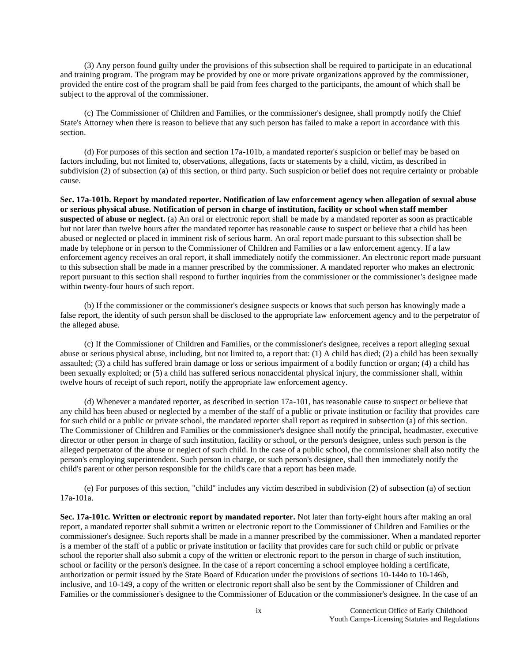(3) Any person found guilty under the provisions of this subsection shall be required to participate in an educational and training program. The program may be provided by one or more private organizations approved by the commissioner, provided the entire cost of the program shall be paid from fees charged to the participants, the amount of which shall be subject to the approval of the commissioner.

(c) The Commissioner of Children and Families, or the commissioner's designee, shall promptly notify the Chief State's Attorney when there is reason to believe that any such person has failed to make a report in accordance with this section.

(d) For purposes of this section and section 17a-101b, a mandated reporter's suspicion or belief may be based on factors including, but not limited to, observations, allegations, facts or statements by a child, victim, as described in subdivision (2) of subsection (a) of this section, or third party. Such suspicion or belief does not require certainty or probable cause.

**Sec. 17a-101b. Report by mandated reporter. Notification of law enforcement agency when allegation of sexual abuse or serious physical abuse. Notification of person in charge of institution, facility or school when staff member suspected of abuse or neglect.** (a) An oral or electronic report shall be made by a mandated reporter as soon as practicable but not later than twelve hours after the mandated reporter has reasonable cause to suspect or believe that a child has been abused or neglected or placed in imminent risk of serious harm. An oral report made pursuant to this subsection shall be made by telephone or in person to the Commissioner of Children and Families or a law enforcement agency. If a law enforcement agency receives an oral report, it shall immediately notify the commissioner. An electronic report made pursuant to this subsection shall be made in a manner prescribed by the commissioner. A mandated reporter who makes an electronic report pursuant to this section shall respond to further inquiries from the commissioner or the commissioner's designee made within twenty-four hours of such report.

(b) If the commissioner or the commissioner's designee suspects or knows that such person has knowingly made a false report, the identity of such person shall be disclosed to the appropriate law enforcement agency and to the perpetrator of the alleged abuse.

(c) If the Commissioner of Children and Families, or the commissioner's designee, receives a report alleging sexual abuse or serious physical abuse, including, but not limited to, a report that: (1) A child has died; (2) a child has been sexually assaulted; (3) a child has suffered brain damage or loss or serious impairment of a bodily function or organ; (4) a child has been sexually exploited; or (5) a child has suffered serious nonaccidental physical injury, the commissioner shall, within twelve hours of receipt of such report, notify the appropriate law enforcement agency.

(d) Whenever a mandated reporter, as described in section 17a-101, has reasonable cause to suspect or believe that any child has been abused or neglected by a member of the staff of a public or private institution or facility that provides care for such child or a public or private school, the mandated reporter shall report as required in subsection (a) of this section. The Commissioner of Children and Families or the commissioner's designee shall notify the principal, headmaster, executive director or other person in charge of such institution, facility or school, or the person's designee, unless such person is the alleged perpetrator of the abuse or neglect of such child. In the case of a public school, the commissioner shall also notify the person's employing superintendent. Such person in charge, or such person's designee, shall then immediately notify the child's parent or other person responsible for the child's care that a report has been made.

(e) For purposes of this section, "child" includes any victim described in subdivision (2) of subsection (a) of section 17a-101a.

**Sec. 17a-101c. Written or electronic report by mandated reporter.** Not later than forty-eight hours after making an oral report, a mandated reporter shall submit a written or electronic report to the Commissioner of Children and Families or the commissioner's designee. Such reports shall be made in a manner prescribed by the commissioner. When a mandated reporter is a member of the staff of a public or private institution or facility that provides care for such child or public or private school the reporter shall also submit a copy of the written or electronic report to the person in charge of such institution, school or facility or the person's designee. In the case of a report concerning a school employee holding a certificate, authorization or permit issued by the State Board of Education under the provisions of sections 10-144o to 10-146b, inclusive, and 10-149, a copy of the written or electronic report shall also be sent by the Commissioner of Children and Families or the commissioner's designee to the Commissioner of Education or the commissioner's designee. In the case of an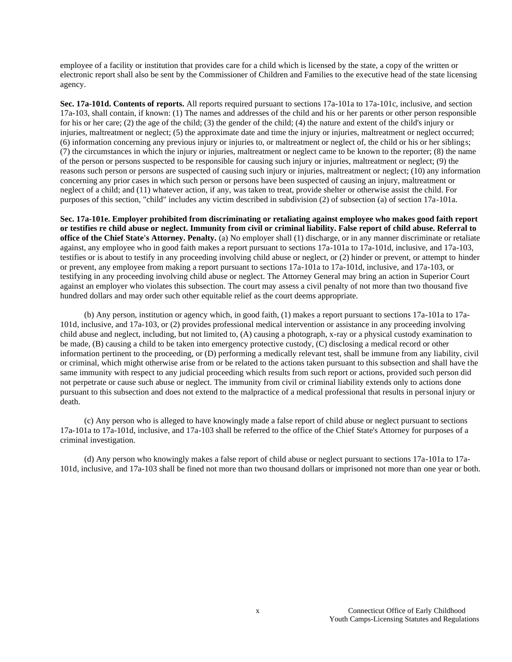employee of a facility or institution that provides care for a child which is licensed by the state, a copy of the written or electronic report shall also be sent by the Commissioner of Children and Families to the executive head of the state licensing agency.

**Sec. 17a-101d. Contents of reports.** All reports required pursuant to sections 17a-101a to 17a-101c, inclusive, and section 17a-103, shall contain, if known: (1) The names and addresses of the child and his or her parents or other person responsible for his or her care; (2) the age of the child; (3) the gender of the child; (4) the nature and extent of the child's injury or injuries, maltreatment or neglect; (5) the approximate date and time the injury or injuries, maltreatment or neglect occurred; (6) information concerning any previous injury or injuries to, or maltreatment or neglect of, the child or his or her siblings; (7) the circumstances in which the injury or injuries, maltreatment or neglect came to be known to the reporter; (8) the name of the person or persons suspected to be responsible for causing such injury or injuries, maltreatment or neglect; (9) the reasons such person or persons are suspected of causing such injury or injuries, maltreatment or neglect; (10) any information concerning any prior cases in which such person or persons have been suspected of causing an injury, maltreatment or neglect of a child; and (11) whatever action, if any, was taken to treat, provide shelter or otherwise assist the child. For purposes of this section, "child" includes any victim described in subdivision (2) of subsection (a) of section 17a-101a.

**Sec. 17a-101e. Employer prohibited from discriminating or retaliating against employee who makes good faith report or testifies re child abuse or neglect. Immunity from civil or criminal liability. False report of child abuse. Referral to office of the Chief State's Attorney. Penalty.** (a) No employer shall (1) discharge, or in any manner discriminate or retaliate against, any employee who in good faith makes a report pursuant to sections 17a-101a to 17a-101d, inclusive, and 17a-103, testifies or is about to testify in any proceeding involving child abuse or neglect, or (2) hinder or prevent, or attempt to hinder or prevent, any employee from making a report pursuant to sections 17a-101a to 17a-101d, inclusive, and 17a-103, or testifying in any proceeding involving child abuse or neglect. The Attorney General may bring an action in Superior Court against an employer who violates this subsection. The court may assess a civil penalty of not more than two thousand five hundred dollars and may order such other equitable relief as the court deems appropriate.

(b) Any person, institution or agency which, in good faith, (1) makes a report pursuant to sections 17a-101a to 17a-101d, inclusive, and 17a-103, or (2) provides professional medical intervention or assistance in any proceeding involving child abuse and neglect, including, but not limited to, (A) causing a photograph, x-ray or a physical custody examination to be made, (B) causing a child to be taken into emergency protective custody, (C) disclosing a medical record or other information pertinent to the proceeding, or (D) performing a medically relevant test, shall be immune from any liability, civil or criminal, which might otherwise arise from or be related to the actions taken pursuant to this subsection and shall have the same immunity with respect to any judicial proceeding which results from such report or actions, provided such person did not perpetrate or cause such abuse or neglect. The immunity from civil or criminal liability extends only to actions done pursuant to this subsection and does not extend to the malpractice of a medical professional that results in personal injury or death.

(c) Any person who is alleged to have knowingly made a false report of child abuse or neglect pursuant to sections 17a-101a to 17a-101d, inclusive, and 17a-103 shall be referred to the office of the Chief State's Attorney for purposes of a criminal investigation.

(d) Any person who knowingly makes a false report of child abuse or neglect pursuant to sections 17a-101a to 17a-101d, inclusive, and 17a-103 shall be fined not more than two thousand dollars or imprisoned not more than one year or both.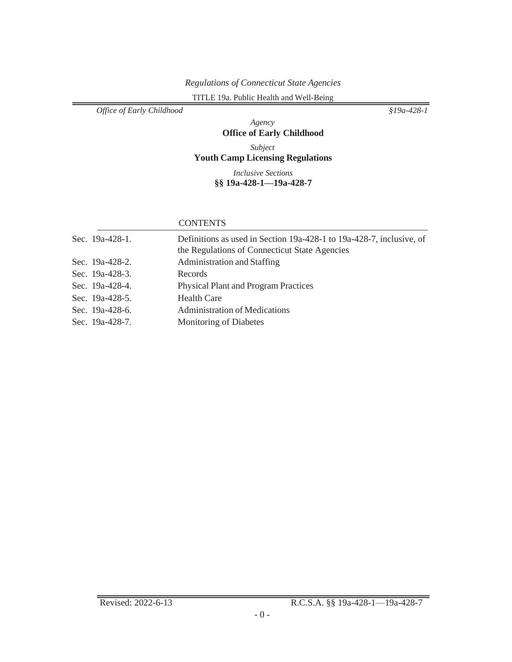# *Regulations of Connecticut State Agencies*

TITLE 19a. Public Health and Well-Being

*Office of Early Childhood §19a-428-1*

### *Agency* **Office of Early Childhood**

*Subject* **Youth Camp Licensing Regulations**

> *Inclusive Sections* **§§ 19a-428-1—19a-428-7**

#### **CONTENTS**

| Sec. 19a-428-1. | Definitions as used in Section 19a-428-1 to 19a-428-7, inclusive, of<br>the Regulations of Connecticut State Agencies |
|-----------------|-----------------------------------------------------------------------------------------------------------------------|
| Sec. 19a-428-2. | Administration and Staffing                                                                                           |
| Sec. 19a-428-3. | Records                                                                                                               |
| Sec. 19a-428-4. | <b>Physical Plant and Program Practices</b>                                                                           |
| Sec. 19a-428-5. | <b>Health Care</b>                                                                                                    |
| Sec. 19a-428-6. | <b>Administration of Medications</b>                                                                                  |
| Sec. 19a-428-7. | Monitoring of Diabetes                                                                                                |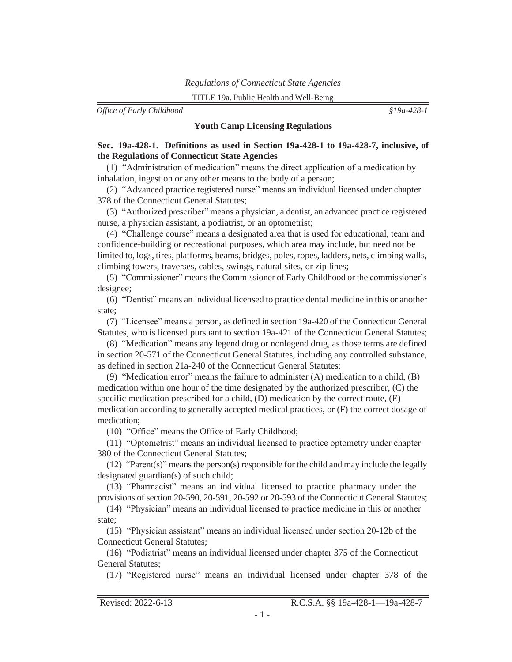<span id="page-12-0"></span>*Office of Early Childhood §19a-428-1*

#### **Youth Camp Licensing Regulations**

#### **Sec. 19a-428-1. Definitions as used in Section 19a-428-1 to 19a-428-7, inclusive, of the Regulations of Connecticut State Agencies**

(1) "Administration of medication" means the direct application of a medication by inhalation, ingestion or any other means to the body of a person;

(2) "Advanced practice registered nurse" means an individual licensed under chapter 378 of the Connecticut General Statutes;

(3) "Authorized prescriber" means a physician, a dentist, an advanced practice registered nurse, a physician assistant, a podiatrist, or an optometrist;

(4) "Challenge course" means a designated area that is used for educational, team and confidence-building or recreational purposes, which area may include, but need not be limited to, logs, tires, platforms, beams, bridges, poles, ropes, ladders, nets, climbing walls, climbing towers, traverses, cables, swings, natural sites, or zip lines;

(5) "Commissioner" means the Commissioner of Early Childhood or the commissioner's designee;

(6) "Dentist" means an individual licensed to practice dental medicine in this or another state;

(7) "Licensee" means a person, as defined in section 19a-420 of the Connecticut General Statutes, who is licensed pursuant to section 19a-421 of the Connecticut General Statutes;

(8) "Medication" means any legend drug or nonlegend drug, as those terms are defined in section 20-571 of the Connecticut General Statutes, including any controlled substance, as defined in section 21a-240 of the Connecticut General Statutes;

(9) "Medication error" means the failure to administer (A) medication to a child, (B) medication within one hour of the time designated by the authorized prescriber, (C) the specific medication prescribed for a child, (D) medication by the correct route, (E) medication according to generally accepted medical practices, or (F) the correct dosage of medication;

(10) "Office" means the Office of Early Childhood;

(11) "Optometrist" means an individual licensed to practice optometry under chapter 380 of the Connecticut General Statutes;

(12) "Parent(s)" meansthe person(s) responsible for the child and may include the legally designated guardian(s) of such child;

(13) "Pharmacist" means an individual licensed to practice pharmacy under the provisions of section 20-590, 20-591, 20-592 or 20-593 of the Connecticut General Statutes;

(14) "Physician" means an individual licensed to practice medicine in this or another state;

(15) "Physician assistant" means an individual licensed under section 20-12b of the Connecticut General Statutes;

(16) "Podiatrist" means an individual licensed under chapter 375 of the Connecticut General Statutes;

(17) "Registered nurse" means an individual licensed under chapter 378 of the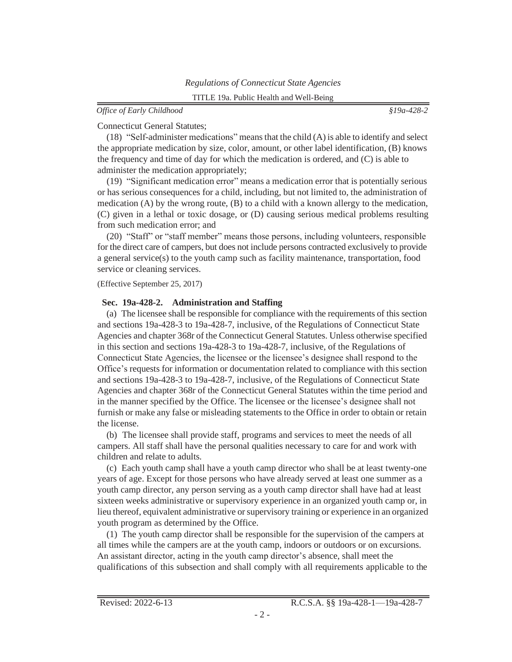<span id="page-13-0"></span>Connecticut General Statutes;

(18) "Self-administer medications" meansthat the child (A) is able to identify and select the appropriate medication by size, color, amount, or other label identification, (B) knows the frequency and time of day for which the medication is ordered, and (C) is able to administer the medication appropriately;

(19) "Significant medication error" means a medication error that is potentially serious or has serious consequences for a child, including, but not limited to, the administration of medication  $(A)$  by the wrong route,  $(B)$  to a child with a known allergy to the medication, (C) given in a lethal or toxic dosage, or (D) causing serious medical problems resulting from such medication error; and

(20) "Staff" or "staff member" means those persons, including volunteers, responsible for the direct care of campers, but does not include persons contracted exclusively to provide a general service(s) to the youth camp such as facility maintenance, transportation, food service or cleaning services.

(Effective September 25, 2017)

#### **Sec. 19a-428-2. Administration and Staffing**

(a) The licensee shall be responsible for compliance with the requirements of this section and sections 19a-428-3 to 19a-428-7, inclusive, of the Regulations of Connecticut State Agencies and chapter 368r of the Connecticut General Statutes. Unless otherwise specified in this section and sections 19a-428-3 to 19a-428-7, inclusive, of the Regulations of Connecticut State Agencies, the licensee or the licensee's designee shall respond to the Office's requests for information or documentation related to compliance with this section and sections 19a-428-3 to 19a-428-7, inclusive, of the Regulations of Connecticut State Agencies and chapter 368r of the Connecticut General Statutes within the time period and in the manner specified by the Office. The licensee or the licensee's designee shall not furnish or make any false or misleading statements to the Office in order to obtain or retain the license.

(b) The licensee shall provide staff, programs and services to meet the needs of all campers. All staff shall have the personal qualities necessary to care for and work with children and relate to adults.

(c) Each youth camp shall have a youth camp director who shall be at least twenty-one years of age. Except for those persons who have already served at least one summer as a youth camp director, any person serving as a youth camp director shall have had at least sixteen weeks administrative or supervisory experience in an organized youth camp or, in lieu thereof, equivalent administrative or supervisory training or experience in an organized youth program as determined by the Office.

(1) The youth camp director shall be responsible for the supervision of the campers at all times while the campers are at the youth camp, indoors or outdoors or on excursions. An assistant director, acting in the youth camp director's absence, shall meet the qualifications of this subsection and shall comply with all requirements applicable to the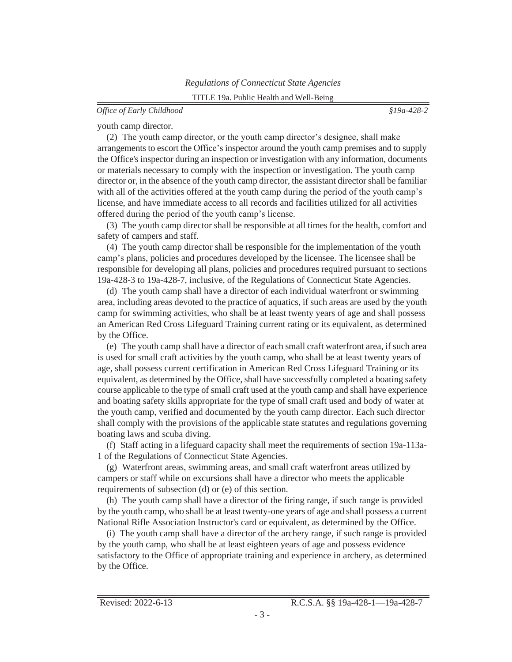#### *Office of Early Childhood §19a-428-2*

youth camp director.

(2) The youth camp director, or the youth camp director's designee, shall make arrangements to escort the Office's inspector around the youth camp premises and to supply the Office's inspector during an inspection or investigation with any information, documents or materials necessary to comply with the inspection or investigation. The youth camp director or, in the absence of the youth camp director, the assistant director shall be familiar with all of the activities offered at the youth camp during the period of the youth camp's license, and have immediate access to all records and facilities utilized for all activities offered during the period of the youth camp's license.

(3) The youth camp director shall be responsible at all times for the health, comfort and safety of campers and staff.

(4) The youth camp director shall be responsible for the implementation of the youth camp's plans, policies and procedures developed by the licensee. The licensee shall be responsible for developing all plans, policies and procedures required pursuant to sections 19a-428-3 to 19a-428-7, inclusive, of the Regulations of Connecticut State Agencies.

(d) The youth camp shall have a director of each individual waterfront or swimming area, including areas devoted to the practice of aquatics, if such areas are used by the youth camp for swimming activities, who shall be at least twenty years of age and shall possess an American Red Cross Lifeguard Training current rating or its equivalent, as determined by the Office.

(e) The youth camp shall have a director of each small craft waterfront area, if such area is used for small craft activities by the youth camp, who shall be at least twenty years of age, shall possess current certification in American Red Cross Lifeguard Training or its equivalent, as determined by the Office, shall have successfully completed a boating safety course applicable to the type of small craft used at the youth camp and shall have experience and boating safety skills appropriate for the type of small craft used and body of water at the youth camp, verified and documented by the youth camp director. Each such director shall comply with the provisions of the applicable state statutes and regulations governing boating laws and scuba diving.

(f) Staff acting in a lifeguard capacity shall meet the requirements of section 19a-113a-1 of the Regulations of Connecticut State Agencies.

(g) Waterfront areas, swimming areas, and small craft waterfront areas utilized by campers or staff while on excursions shall have a director who meets the applicable requirements of subsection (d) or (e) of this section.

(h) The youth camp shall have a director of the firing range, if such range is provided by the youth camp, who shall be at least twenty-one years of age and shall possess a current National Rifle Association Instructor's card or equivalent, as determined by the Office.

(i) The youth camp shall have a director of the archery range, if such range is provided by the youth camp, who shall be at least eighteen years of age and possess evidence satisfactory to the Office of appropriate training and experience in archery, as determined by the Office.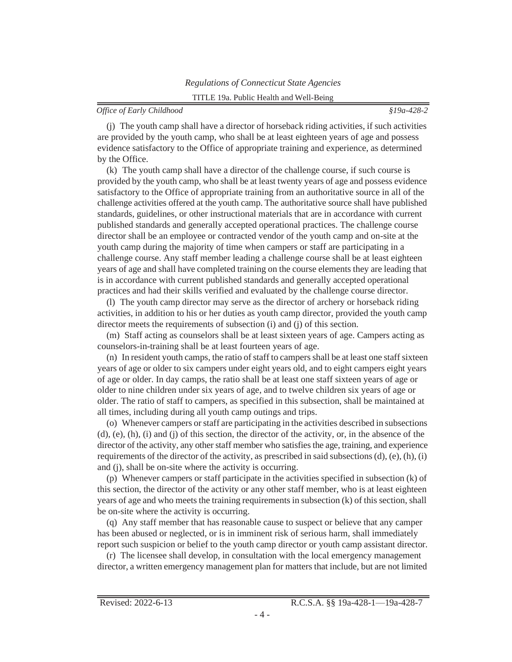(j) The youth camp shall have a director of horseback riding activities, if such activities are provided by the youth camp, who shall be at least eighteen years of age and possess evidence satisfactory to the Office of appropriate training and experience, as determined by the Office.

(k) The youth camp shall have a director of the challenge course, if such course is provided by the youth camp, who shall be at least twenty years of age and possess evidence satisfactory to the Office of appropriate training from an authoritative source in all of the challenge activities offered at the youth camp. The authoritative source shall have published standards, guidelines, or other instructional materials that are in accordance with current published standards and generally accepted operational practices. The challenge course director shall be an employee or contracted vendor of the youth camp and on-site at the youth camp during the majority of time when campers or staff are participating in a challenge course. Any staff member leading a challenge course shall be at least eighteen years of age and shall have completed training on the course elements they are leading that is in accordance with current published standards and generally accepted operational practices and had their skills verified and evaluated by the challenge course director.

(l) The youth camp director may serve as the director of archery or horseback riding activities, in addition to his or her duties as youth camp director, provided the youth camp director meets the requirements of subsection (i) and (j) of this section.

(m) Staff acting as counselors shall be at least sixteen years of age. Campers acting as counselors-in-training shall be at least fourteen years of age.

 $(n)$  In resident youth camps, the ratio of staff to campers shall be at least one staff sixteen years of age or older to six campers under eight years old, and to eight campers eight years of age or older. In day camps, the ratio shall be at least one staff sixteen years of age or older to nine children under six years of age, and to twelve children six years of age or older. The ratio of staff to campers, as specified in this subsection, shall be maintained at all times, including during all youth camp outings and trips.

(o) Whenever campers orstaff are participating in the activities described in subsections (d), (e), (h), (i) and (j) of this section, the director of the activity, or, in the absence of the director of the activity, any other staff member who satisfies the age, training, and experience requirements of the director of the activity, as prescribed in said subsections  $(d)$ ,  $(e)$ ,  $(h)$ ,  $(i)$ and (j), shall be on-site where the activity is occurring.

(p) Whenever campers or staff participate in the activities specified in subsection (k) of this section, the director of the activity or any other staff member, who is at least eighteen years of age and who meets the training requirements in subsection (k) of this section, shall be on-site where the activity is occurring.

(q) Any staff member that has reasonable cause to suspect or believe that any camper has been abused or neglected, or is in imminent risk of serious harm, shall immediately report such suspicion or belief to the youth camp director or youth camp assistant director.

(r) The licensee shall develop, in consultation with the local emergency management director, a written emergency management plan for matters that include, but are not limited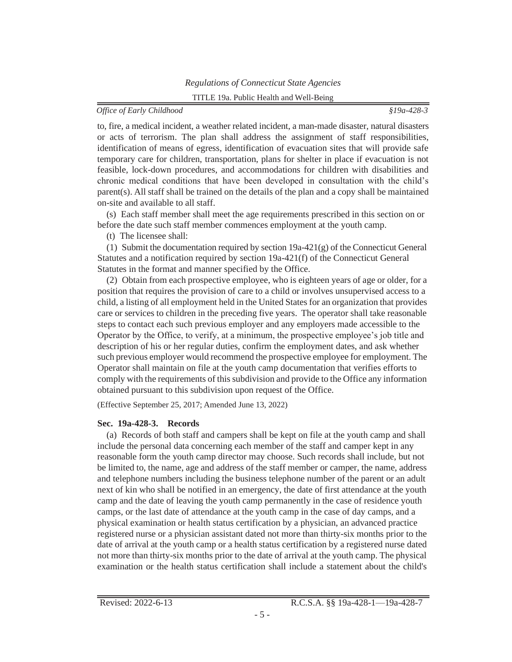## *Office of Early Childhood §19a-428-3*

<span id="page-16-0"></span>to, fire, a medical incident, a weather related incident, a man-made disaster, natural disasters or acts of terrorism. The plan shall address the assignment of staff responsibilities, identification of means of egress, identification of evacuation sites that will provide safe temporary care for children, transportation, plans for shelter in place if evacuation is not feasible, lock-down procedures, and accommodations for children with disabilities and chronic medical conditions that have been developed in consultation with the child's parent(s). All staff shall be trained on the details of the plan and a copy shall be maintained on-site and available to all staff.

(s) Each staff member shall meet the age requirements prescribed in this section on or before the date such staff member commences employment at the youth camp.

(t) The licensee shall:

(1) Submit the documentation required by section 19a-421(g) of the Connecticut General Statutes and a notification required by section 19a-421(f) of the Connecticut General Statutes in the format and manner specified by the Office.

(2) Obtain from each prospective employee, who is eighteen years of age or older, for a position that requires the provision of care to a child or involves unsupervised access to a child, a listing of all employment held in the United States for an organization that provides care or services to children in the preceding five years. The operator shall take reasonable steps to contact each such previous employer and any employers made accessible to the Operator by the Office, to verify, at a minimum, the prospective employee's job title and description of his or her regular duties, confirm the employment dates, and ask whether such previous employer would recommend the prospective employee for employment. The Operator shall maintain on file at the youth camp documentation that verifies efforts to comply with the requirements of this subdivision and provide to the Office any information obtained pursuant to this subdivision upon request of the Office.

(Effective September 25, 2017; Amended June 13, 2022)

#### **Sec. 19a-428-3. Records**

(a) Records of both staff and campers shall be kept on file at the youth camp and shall include the personal data concerning each member of the staff and camper kept in any reasonable form the youth camp director may choose. Such records shall include, but not be limited to, the name, age and address of the staff member or camper, the name, address and telephone numbers including the business telephone number of the parent or an adult next of kin who shall be notified in an emergency, the date of first attendance at the youth camp and the date of leaving the youth camp permanently in the case of residence youth camps, or the last date of attendance at the youth camp in the case of day camps, and a physical examination or health status certification by a physician, an advanced practice registered nurse or a physician assistant dated not more than thirty-six months prior to the date of arrival at the youth camp or a health status certification by a registered nurse dated not more than thirty-six months prior to the date of arrival at the youth camp. The physical examination or the health status certification shall include a statement about the child's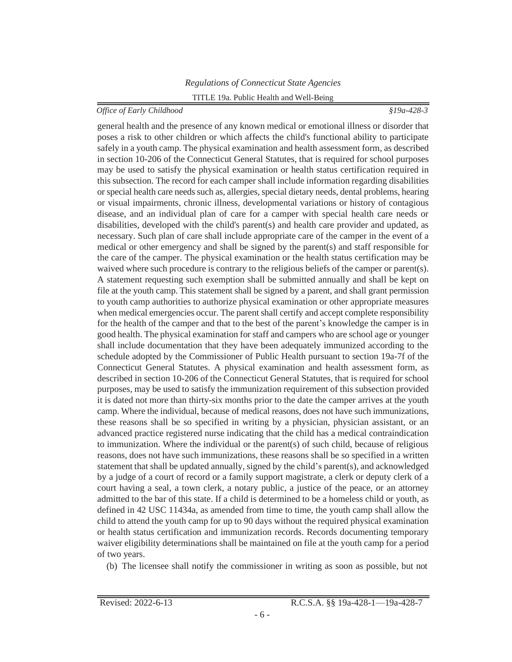general health and the presence of any known medical or emotional illness or disorder that poses a risk to other children or which affects the child's functional ability to participate safely in a youth camp. The physical examination and health assessment form, as described in section 10-206 of the Connecticut General Statutes, that is required for school purposes may be used to satisfy the physical examination or health status certification required in this subsection. The record for each camper shall include information regarding disabilities or special health care needs such as, allergies, special dietary needs, dental problems, hearing or visual impairments, chronic illness, developmental variations or history of contagious disease, and an individual plan of care for a camper with special health care needs or disabilities, developed with the child's parent(s) and health care provider and updated, as necessary. Such plan of care shall include appropriate care of the camper in the event of a medical or other emergency and shall be signed by the parent(s) and staff responsible for the care of the camper. The physical examination or the health status certification may be waived where such procedure is contrary to the religious beliefs of the camper or parent(s). A statement requesting such exemption shall be submitted annually and shall be kept on file at the youth camp. This statement shall be signed by a parent, and shall grant permission to youth camp authorities to authorize physical examination or other appropriate measures when medical emergencies occur. The parent shall certify and accept complete responsibility for the health of the camper and that to the best of the parent's knowledge the camper is in good health. The physical examination for staff and campers who are school age or younger shall include documentation that they have been adequately immunized according to the schedule adopted by the Commissioner of Public Health pursuant to section 19a-7f of the Connecticut General Statutes. A physical examination and health assessment form, as described in section 10-206 of the Connecticut General Statutes, that is required for school purposes, may be used to satisfy the immunization requirement of this subsection provided it is dated not more than thirty-six months prior to the date the camper arrives at the youth camp. Where the individual, because of medical reasons, does not have such immunizations, these reasons shall be so specified in writing by a physician, physician assistant, or an advanced practice registered nurse indicating that the child has a medical contraindication to immunization. Where the individual or the parent(s) of such child, because of religious reasons, does not have such immunizations, these reasons shall be so specified in a written statement that shall be updated annually, signed by the child's parent(s), and acknowledged by a judge of a court of record or a family support magistrate, a clerk or deputy clerk of a court having a seal, a town clerk, a notary public, a justice of the peace, or an attorney admitted to the bar of this state. If a child is determined to be a homeless child or youth, as defined in 42 USC 11434a, as amended from time to time, the youth camp shall allow the child to attend the youth camp for up to 90 days without the required physical examination or health status certification and immunization records. Records documenting temporary waiver eligibility determinations shall be maintained on file at the youth camp for a period of two years.

(b) The licensee shall notify the commissioner in writing as soon as possible, but not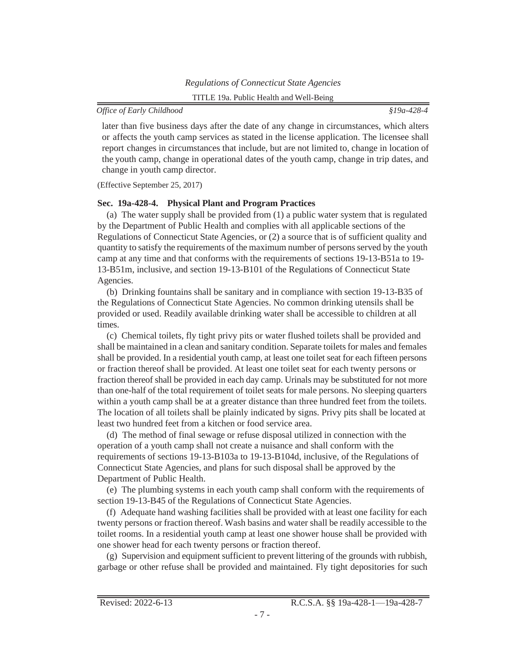<span id="page-18-0"></span>later than five business days after the date of any change in circumstances, which alters or affects the youth camp services as stated in the license application. The licensee shall report changes in circumstances that include, but are not limited to, change in location of the youth camp, change in operational dates of the youth camp, change in trip dates, and change in youth camp director.

(Effective September 25, 2017)

## **Sec. 19a-428-4. Physical Plant and Program Practices**

(a) The water supply shall be provided from (1) a public water system that is regulated by the Department of Public Health and complies with all applicable sections of the Regulations of Connecticut State Agencies, or (2) a source that is of sufficient quality and quantity to satisfy the requirements of the maximum number of personsserved by the youth camp at any time and that conforms with the requirements of sections 19-13-B51a to 19- 13-B51m, inclusive, and section 19-13-B101 of the Regulations of Connecticut State Agencies.

(b) Drinking fountains shall be sanitary and in compliance with section 19-13-B35 of the Regulations of Connecticut State Agencies. No common drinking utensils shall be provided or used. Readily available drinking water shall be accessible to children at all times.

(c) Chemical toilets, fly tight privy pits or water flushed toilets shall be provided and shall be maintained in a clean and sanitary condition. Separate toilets for males and females shall be provided. In a residential youth camp, at least one toilet seat for each fifteen persons or fraction thereof shall be provided. At least one toilet seat for each twenty persons or fraction thereof shall be provided in each day camp. Urinals may be substituted for not more than one-half of the total requirement of toilet seats for male persons. No sleeping quarters within a youth camp shall be at a greater distance than three hundred feet from the toilets. The location of all toilets shall be plainly indicated by signs. Privy pits shall be located at least two hundred feet from a kitchen or food service area.

(d) The method of final sewage or refuse disposal utilized in connection with the operation of a youth camp shall not create a nuisance and shall conform with the requirements of sections 19-13-B103a to 19-13-B104d, inclusive, of the Regulations of Connecticut State Agencies, and plans for such disposal shall be approved by the Department of Public Health.

(e) The plumbing systems in each youth camp shall conform with the requirements of section 19-13-B45 of the Regulations of Connecticut State Agencies.

(f) Adequate hand washing facilities shall be provided with at least one facility for each twenty persons or fraction thereof. Wash basins and water shall be readily accessible to the toilet rooms. In a residential youth camp at least one shower house shall be provided with one shower head for each twenty persons or fraction thereof.

(g) Supervision and equipment sufficient to prevent littering of the grounds with rubbish, garbage or other refuse shall be provided and maintained. Fly tight depositories for such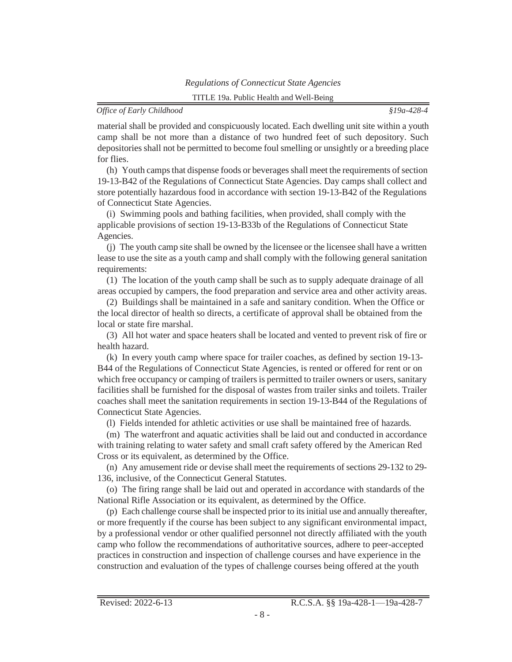material shall be provided and conspicuously located. Each dwelling unit site within a youth camp shall be not more than a distance of two hundred feet of such depository. Such depositories shall not be permitted to become foul smelling or unsightly or a breeding place for flies.

(h) Youth camps that dispense foods or beverages shall meet the requirements of section 19-13-B42 of the Regulations of Connecticut State Agencies. Day camps shall collect and store potentially hazardous food in accordance with section 19-13-B42 of the Regulations of Connecticut State Agencies.

(i) Swimming pools and bathing facilities, when provided, shall comply with the applicable provisions of section 19-13-B33b of the Regulations of Connecticut State Agencies.

(j) The youth camp site shall be owned by the licensee or the licensee shall have a written lease to use the site as a youth camp and shall comply with the following general sanitation requirements:

(1) The location of the youth camp shall be such as to supply adequate drainage of all areas occupied by campers, the food preparation and service area and other activity areas.

(2) Buildings shall be maintained in a safe and sanitary condition. When the Office or the local director of health so directs, a certificate of approval shall be obtained from the local or state fire marshal.

(3) All hot water and space heaters shall be located and vented to prevent risk of fire or health hazard.

(k) In every youth camp where space for trailer coaches, as defined by section 19-13- B44 of the Regulations of Connecticut State Agencies, is rented or offered for rent or on which free occupancy or camping of trailers is permitted to trailer owners or users, sanitary facilities shall be furnished for the disposal of wastes from trailer sinks and toilets. Trailer coaches shall meet the sanitation requirements in section 19-13-B44 of the Regulations of Connecticut State Agencies.

(l) Fields intended for athletic activities or use shall be maintained free of hazards.

(m) The waterfront and aquatic activities shall be laid out and conducted in accordance with training relating to water safety and small craft safety offered by the American Red Cross or its equivalent, as determined by the Office.

(n) Any amusement ride or devise shall meet the requirements of sections 29-132 to 29- 136, inclusive, of the Connecticut General Statutes.

(o) The firing range shall be laid out and operated in accordance with standards of the National Rifle Association or its equivalent, as determined by the Office.

(p) Each challenge course shall be inspected prior to itsinitial use and annually thereafter, or more frequently if the course has been subject to any significant environmental impact, by a professional vendor or other qualified personnel not directly affiliated with the youth camp who follow the recommendations of authoritative sources, adhere to peer-accepted practices in construction and inspection of challenge courses and have experience in the construction and evaluation of the types of challenge courses being offered at the youth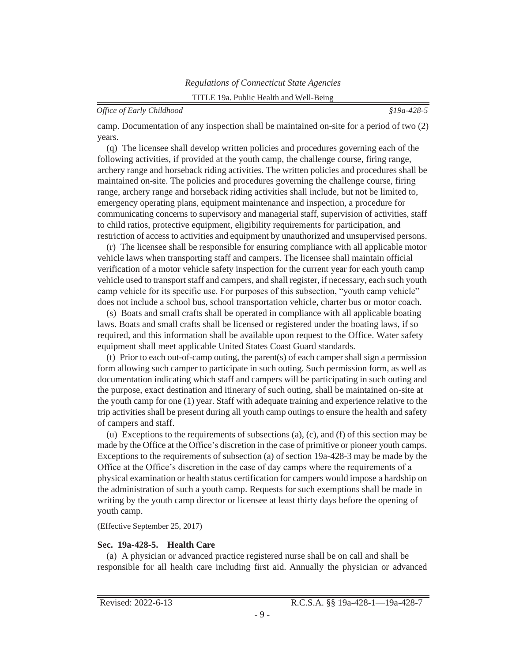<span id="page-20-0"></span>camp. Documentation of any inspection shall be maintained on-site for a period of two (2) years.

(q) The licensee shall develop written policies and procedures governing each of the following activities, if provided at the youth camp, the challenge course, firing range, archery range and horseback riding activities. The written policies and procedures shall be maintained on-site. The policies and procedures governing the challenge course, firing range, archery range and horseback riding activities shall include, but not be limited to, emergency operating plans, equipment maintenance and inspection, a procedure for communicating concerns to supervisory and managerial staff, supervision of activities, staff to child ratios, protective equipment, eligibility requirements for participation, and restriction of access to activities and equipment by unauthorized and unsupervised persons.

(r) The licensee shall be responsible for ensuring compliance with all applicable motor vehicle laws when transporting staff and campers. The licensee shall maintain official verification of a motor vehicle safety inspection for the current year for each youth camp vehicle used to transport staff and campers, and shall register, if necessary, each such youth camp vehicle for its specific use. For purposes of this subsection, "youth camp vehicle" does not include a school bus, school transportation vehicle, charter bus or motor coach.

(s) Boats and small crafts shall be operated in compliance with all applicable boating laws. Boats and small crafts shall be licensed or registered under the boating laws, if so required, and this information shall be available upon request to the Office. Water safety equipment shall meet applicable United States Coast Guard standards.

(t) Prior to each out-of-camp outing, the parent(s) of each camper shall sign a permission form allowing such camper to participate in such outing. Such permission form, as well as documentation indicating which staff and campers will be participating in such outing and the purpose, exact destination and itinerary of such outing, shall be maintained on-site at the youth camp for one (1) year. Staff with adequate training and experience relative to the trip activities shall be present during all youth camp outings to ensure the health and safety of campers and staff.

(u) Exceptions to the requirements of subsections (a), (c), and (f) of this section may be made by the Office at the Office's discretion in the case of primitive or pioneer youth camps. Exceptions to the requirements of subsection (a) of section 19a-428-3 may be made by the Office at the Office's discretion in the case of day camps where the requirements of a physical examination or health status certification for campers would impose a hardship on the administration of such a youth camp. Requests for such exemptions shall be made in writing by the youth camp director or licensee at least thirty days before the opening of youth camp.

(Effective September 25, 2017)

#### **Sec. 19a-428-5. Health Care**

(a) A physician or advanced practice registered nurse shall be on call and shall be responsible for all health care including first aid. Annually the physician or advanced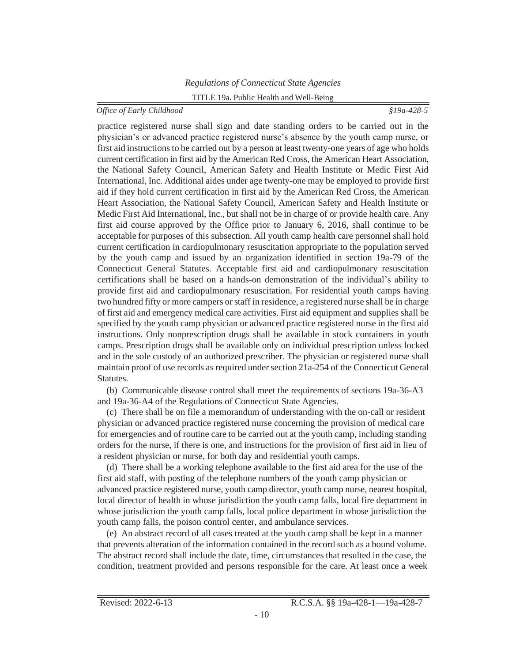practice registered nurse shall sign and date standing orders to be carried out in the physician's or advanced practice registered nurse's absence by the youth camp nurse, or first aid instructions to be carried out by a person at least twenty-one years of age who holds current certification in first aid by the American Red Cross, the American Heart Association, the National Safety Council, American Safety and Health Institute or Medic First Aid International, Inc. Additional aides under age twenty-one may be employed to provide first aid if they hold current certification in first aid by the American Red Cross, the American Heart Association, the National Safety Council, American Safety and Health Institute or Medic First Aid International, Inc., but shall not be in charge of or provide health care. Any first aid course approved by the Office prior to January 6, 2016, shall continue to be acceptable for purposes of this subsection. All youth camp health care personnel shall hold current certification in cardiopulmonary resuscitation appropriate to the population served by the youth camp and issued by an organization identified in section 19a-79 of the Connecticut General Statutes. Acceptable first aid and cardiopulmonary resuscitation certifications shall be based on a hands-on demonstration of the individual's ability to provide first aid and cardiopulmonary resuscitation. For residential youth camps having two hundred fifty or more campers orstaff in residence, a registered nurse shall be in charge of first aid and emergency medical care activities. First aid equipment and supplies shall be specified by the youth camp physician or advanced practice registered nurse in the first aid instructions. Only nonprescription drugs shall be available in stock containers in youth camps. Prescription drugs shall be available only on individual prescription unless locked and in the sole custody of an authorized prescriber. The physician or registered nurse shall maintain proof of use records as required under section 21a-254 of the Connecticut General Statutes.

(b) Communicable disease control shall meet the requirements of sections 19a-36-A3 and 19a-36-A4 of the Regulations of Connecticut State Agencies.

(c) There shall be on file a memorandum of understanding with the on-call or resident physician or advanced practice registered nurse concerning the provision of medical care for emergencies and of routine care to be carried out at the youth camp, including standing orders for the nurse, if there is one, and instructions for the provision of first aid in lieu of a resident physician or nurse, for both day and residential youth camps.

(d) There shall be a working telephone available to the first aid area for the use of the first aid staff, with posting of the telephone numbers of the youth camp physician or advanced practice registered nurse, youth camp director, youth camp nurse, nearest hospital, local director of health in whose jurisdiction the youth camp falls, local fire department in whose jurisdiction the youth camp falls, local police department in whose jurisdiction the youth camp falls, the poison control center, and ambulance services.

(e) An abstract record of all cases treated at the youth camp shall be kept in a manner that prevents alteration of the information contained in the record such as a bound volume. The abstract record shall include the date, time, circumstances that resulted in the case, the condition, treatment provided and persons responsible for the care. At least once a week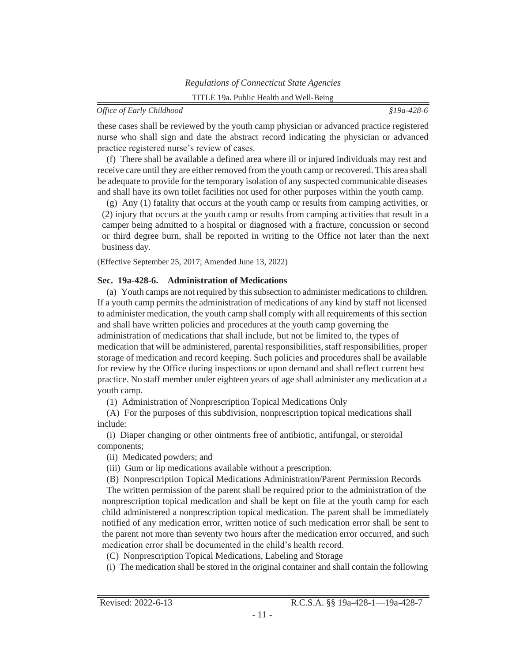<span id="page-22-0"></span>these cases shall be reviewed by the youth camp physician or advanced practice registered nurse who shall sign and date the abstract record indicating the physician or advanced practice registered nurse's review of cases.

(f) There shall be available a defined area where ill or injured individuals may rest and receive care until they are either removed from the youth camp or recovered. This area shall be adequate to provide for the temporary isolation of any suspected communicable diseases and shall have its own toilet facilities not used for other purposes within the youth camp.

(g) Any (1) fatality that occurs at the youth camp or results from camping activities, or (2) injury that occurs at the youth camp or results from camping activities that result in a camper being admitted to a hospital or diagnosed with a fracture, concussion or second or third degree burn, shall be reported in writing to the Office not later than the next business day.

(Effective September 25, 2017; Amended June 13, 2022)

# **Sec. 19a-428-6. Administration of Medications**

(a) Youth camps are not required by thissubsection to administer medicationsto children. If a youth camp permits the administration of medications of any kind by staff not licensed to administer medication, the youth camp shall comply with all requirements of thissection and shall have written policies and procedures at the youth camp governing the administration of medications that shall include, but not be limited to, the types of medication that will be administered, parental responsibilities, staff responsibilities, proper storage of medication and record keeping. Such policies and procedures shall be available for review by the Office during inspections or upon demand and shall reflect current best practice. No staff member under eighteen years of age shall administer any medication at a youth camp.

(1) Administration of Nonprescription Topical Medications Only

(A) For the purposes of this subdivision, nonprescription topical medications shall include:

(i) Diaper changing or other ointments free of antibiotic, antifungal, or steroidal components;

(ii) Medicated powders; and

(iii) Gum or lip medications available without a prescription.

(B) Nonprescription Topical Medications Administration/Parent Permission Records The written permission of the parent shall be required prior to the administration of the nonprescription topical medication and shall be kept on file at the youth camp for each child administered a nonprescription topical medication. The parent shall be immediately notified of any medication error, written notice of such medication error shall be sent to the parent not more than seventy two hours after the medication error occurred, and such medication error shall be documented in the child's health record.

(C) Nonprescription Topical Medications, Labeling and Storage

(i) The medication shall be stored in the original container and shall contain the following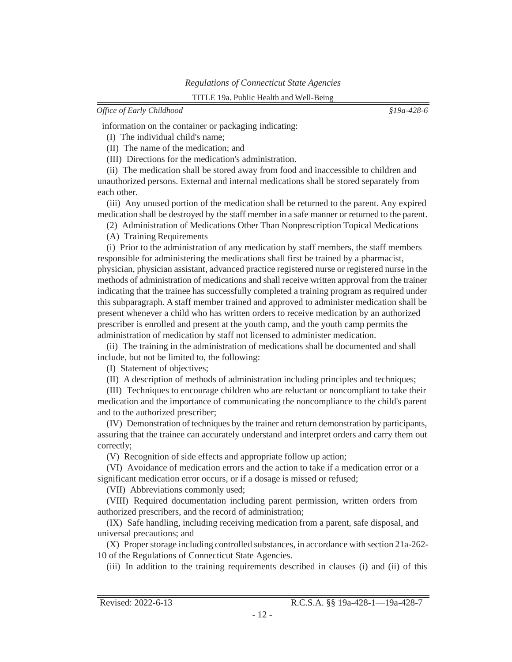information on the container or packaging indicating:

(I) The individual child's name;

(II) The name of the medication; and

(III) Directions for the medication's administration.

(ii) The medication shall be stored away from food and inaccessible to children and unauthorized persons. External and internal medications shall be stored separately from each other.

(iii) Any unused portion of the medication shall be returned to the parent. Any expired medication shall be destroyed by the staff member in a safe manner or returned to the parent.

(2) Administration of Medications Other Than Nonprescription Topical Medications

(A) Training Requirements

(i) Prior to the administration of any medication by staff members, the staff members responsible for administering the medications shall first be trained by a pharmacist, physician, physician assistant, advanced practice registered nurse or registered nurse in the methods of administration of medications and shall receive written approval from the trainer indicating that the trainee has successfully completed a training program as required under this subparagraph. A staff member trained and approved to administer medication shall be present whenever a child who has written orders to receive medication by an authorized prescriber is enrolled and present at the youth camp, and the youth camp permits the administration of medication by staff not licensed to administer medication.

(ii) The training in the administration of medications shall be documented and shall include, but not be limited to, the following:

(I) Statement of objectives;

(II) A description of methods of administration including principles and techniques;

(III) Techniques to encourage children who are reluctant or noncompliant to take their medication and the importance of communicating the noncompliance to the child's parent and to the authorized prescriber;

(IV) Demonstration of techniques by the trainer and return demonstration by participants, assuring that the trainee can accurately understand and interpret orders and carry them out correctly;

(V) Recognition of side effects and appropriate follow up action;

(VI) Avoidance of medication errors and the action to take if a medication error or a significant medication error occurs, or if a dosage is missed or refused;

(VII) Abbreviations commonly used;

(VIII) Required documentation including parent permission, written orders from authorized prescribers, and the record of administration;

(IX) Safe handling, including receiving medication from a parent, safe disposal, and universal precautions; and

(X) Properstorage including controlled substances, in accordance with section 21a-262- 10 of the Regulations of Connecticut State Agencies.

(iii) In addition to the training requirements described in clauses (i) and (ii) of this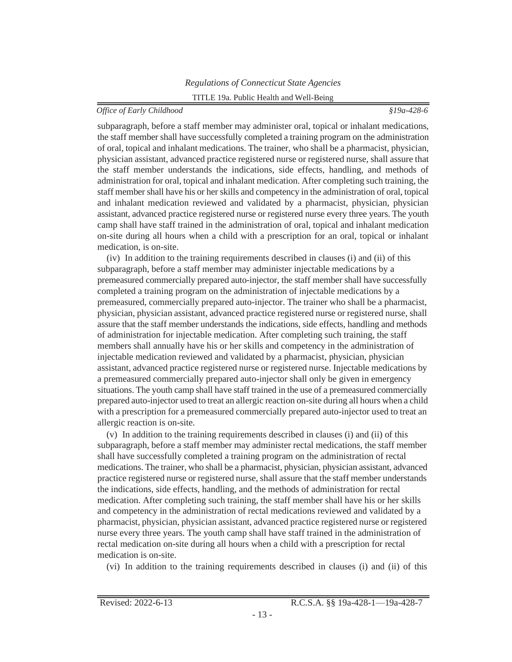subparagraph, before a staff member may administer oral, topical or inhalant medications, the staff member shall have successfully completed a training program on the administration of oral, topical and inhalant medications. The trainer, who shall be a pharmacist, physician, physician assistant, advanced practice registered nurse or registered nurse, shall assure that the staff member understands the indications, side effects, handling, and methods of administration for oral, topical and inhalant medication. After completing such training, the staff member shall have his or her skills and competency in the administration of oral, topical and inhalant medication reviewed and validated by a pharmacist, physician, physician assistant, advanced practice registered nurse or registered nurse every three years. The youth camp shall have staff trained in the administration of oral, topical and inhalant medication on-site during all hours when a child with a prescription for an oral, topical or inhalant medication, is on-site.

(iv) In addition to the training requirements described in clauses (i) and (ii) of this subparagraph, before a staff member may administer injectable medications by a premeasured commercially prepared auto-injector, the staff member shall have successfully completed a training program on the administration of injectable medications by a premeasured, commercially prepared auto-injector. The trainer who shall be a pharmacist, physician, physician assistant, advanced practice registered nurse or registered nurse, shall assure that the staff member understands the indications, side effects, handling and methods of administration for injectable medication. After completing such training, the staff members shall annually have his or her skills and competency in the administration of injectable medication reviewed and validated by a pharmacist, physician, physician assistant, advanced practice registered nurse or registered nurse. Injectable medications by a premeasured commercially prepared auto-injector shall only be given in emergency situations. The youth camp shall have staff trained in the use of a premeasured commercially prepared auto-injector used to treat an allergic reaction on-site during all hours when a child with a prescription for a premeasured commercially prepared auto-injector used to treat an allergic reaction is on-site.

(v) In addition to the training requirements described in clauses (i) and (ii) of this subparagraph, before a staff member may administer rectal medications, the staff member shall have successfully completed a training program on the administration of rectal medications. The trainer, who shall be a pharmacist, physician, physician assistant, advanced practice registered nurse or registered nurse, shall assure that the staff member understands the indications, side effects, handling, and the methods of administration for rectal medication. After completing such training, the staff member shall have his or her skills and competency in the administration of rectal medications reviewed and validated by a pharmacist, physician, physician assistant, advanced practice registered nurse or registered nurse every three years. The youth camp shall have staff trained in the administration of rectal medication on-site during all hours when a child with a prescription for rectal medication is on-site.

(vi) In addition to the training requirements described in clauses (i) and (ii) of this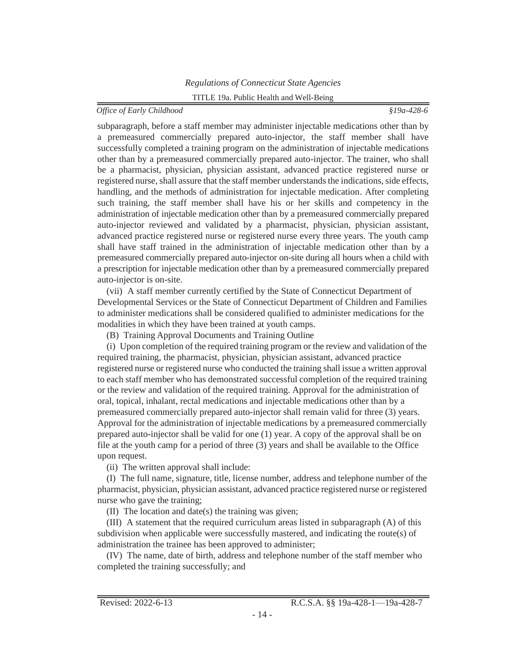subparagraph, before a staff member may administer injectable medications other than by a premeasured commercially prepared auto-injector, the staff member shall have successfully completed a training program on the administration of injectable medications other than by a premeasured commercially prepared auto-injector. The trainer, who shall be a pharmacist, physician, physician assistant, advanced practice registered nurse or registered nurse, shall assure that the staff member understands the indications, side effects, handling, and the methods of administration for injectable medication. After completing such training, the staff member shall have his or her skills and competency in the administration of injectable medication other than by a premeasured commercially prepared auto-injector reviewed and validated by a pharmacist, physician, physician assistant, advanced practice registered nurse or registered nurse every three years. The youth camp shall have staff trained in the administration of injectable medication other than by a premeasured commercially prepared auto-injector on-site during all hours when a child with a prescription for injectable medication other than by a premeasured commercially prepared auto-injector is on-site.

(vii) A staff member currently certified by the State of Connecticut Department of Developmental Services or the State of Connecticut Department of Children and Families to administer medications shall be considered qualified to administer medications for the modalities in which they have been trained at youth camps.

(B) Training Approval Documents and Training Outline

(i) Upon completion of the required training program or the review and validation of the required training, the pharmacist, physician, physician assistant, advanced practice registered nurse or registered nurse who conducted the training shall issue a written approval to each staff member who has demonstrated successful completion of the required training or the review and validation of the required training. Approval for the administration of oral, topical, inhalant, rectal medications and injectable medications other than by a premeasured commercially prepared auto-injector shall remain valid for three (3) years. Approval for the administration of injectable medications by a premeasured commercially prepared auto-injector shall be valid for one (1) year. A copy of the approval shall be on file at the youth camp for a period of three (3) years and shall be available to the Office upon request.

(ii) The written approval shall include:

(I) The full name, signature, title, license number, address and telephone number of the pharmacist, physician, physician assistant, advanced practice registered nurse or registered nurse who gave the training;

(II) The location and date(s) the training was given;

(III) A statement that the required curriculum areas listed in subparagraph (A) of this subdivision when applicable were successfully mastered, and indicating the route(s) of administration the trainee has been approved to administer;

(IV) The name, date of birth, address and telephone number of the staff member who completed the training successfully; and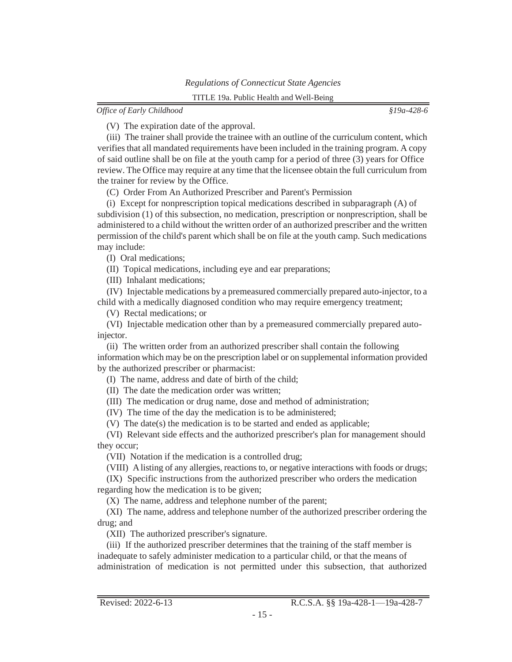*Office of Early Childhood §19a-428-6*

(V) The expiration date of the approval.

(iii) The trainer shall provide the trainee with an outline of the curriculum content, which verifiesthat all mandated requirements have been included in the training program. A copy of said outline shall be on file at the youth camp for a period of three (3) years for Office review. The Office may require at any time that the licensee obtain the full curriculum from the trainer for review by the Office.

(C) Order From An Authorized Prescriber and Parent's Permission

(i) Except for nonprescription topical medications described in subparagraph (A) of subdivision (1) of this subsection, no medication, prescription or nonprescription, shall be administered to a child without the written order of an authorized prescriber and the written permission of the child's parent which shall be on file at the youth camp. Such medications may include:

(I) Oral medications;

(II) Topical medications, including eye and ear preparations;

(III) Inhalant medications;

(IV) Injectable medications by a premeasured commercially prepared auto-injector, to a child with a medically diagnosed condition who may require emergency treatment;

(V) Rectal medications; or

(VI) Injectable medication other than by a premeasured commercially prepared autoinjector.

(ii) The written order from an authorized prescriber shall contain the following information which may be on the prescription label or on supplemental information provided by the authorized prescriber or pharmacist:

(I) The name, address and date of birth of the child;

(II) The date the medication order was written;

(III) The medication or drug name, dose and method of administration;

(IV) The time of the day the medication is to be administered;

(V) The date(s) the medication is to be started and ended as applicable;

(VI) Relevant side effects and the authorized prescriber's plan for management should they occur;

(VII) Notation if the medication is a controlled drug;

(VIII) Alisting of any allergies, reactions to, or negative interactions with foods or drugs;

(IX) Specific instructions from the authorized prescriber who orders the medication regarding how the medication is to be given;

(X) The name, address and telephone number of the parent;

(XI) The name, address and telephone number of the authorized prescriber ordering the drug; and

(XII) The authorized prescriber's signature.

(iii) If the authorized prescriber determines that the training of the staff member is inadequate to safely administer medication to a particular child, or that the means of administration of medication is not permitted under this subsection, that authorized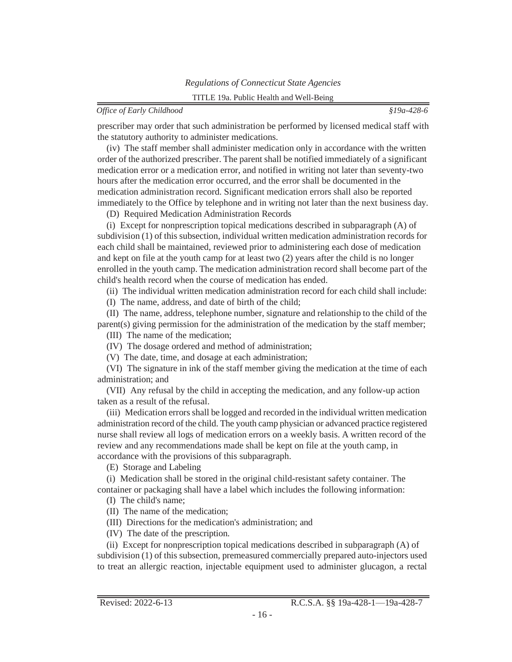prescriber may order that such administration be performed by licensed medical staff with the statutory authority to administer medications.

(iv) The staff member shall administer medication only in accordance with the written order of the authorized prescriber. The parent shall be notified immediately of a significant medication error or a medication error, and notified in writing not later than seventy-two hours after the medication error occurred, and the error shall be documented in the medication administration record. Significant medication errors shall also be reported immediately to the Office by telephone and in writing not later than the next business day.

(D) Required Medication Administration Records

(i) Except for nonprescription topical medications described in subparagraph (A) of subdivision (1) of this subsection, individual written medication administration records for each child shall be maintained, reviewed prior to administering each dose of medication and kept on file at the youth camp for at least two (2) years after the child is no longer enrolled in the youth camp. The medication administration record shall become part of the child's health record when the course of medication has ended.

(ii) The individual written medication administration record for each child shall include:

(I) The name, address, and date of birth of the child;

(II) The name, address, telephone number, signature and relationship to the child of the parent(s) giving permission for the administration of the medication by the staff member;

(III) The name of the medication;

(IV) The dosage ordered and method of administration;

(V) The date, time, and dosage at each administration;

(VI) The signature in ink of the staff member giving the medication at the time of each administration; and

(VII) Any refusal by the child in accepting the medication, and any follow-up action taken as a result of the refusal.

(iii) Medication errorsshall be logged and recorded in the individual written medication administration record of the child. The youth camp physician or advanced practice registered nurse shall review all logs of medication errors on a weekly basis. A written record of the review and any recommendations made shall be kept on file at the youth camp, in accordance with the provisions of this subparagraph.

(E) Storage and Labeling

(i) Medication shall be stored in the original child-resistant safety container. The container or packaging shall have a label which includes the following information:

(I) The child's name;

(II) The name of the medication;

(III) Directions for the medication's administration; and

(IV) The date of the prescription.

(ii) Except for nonprescription topical medications described in subparagraph (A) of subdivision (1) of this subsection, premeasured commercially prepared auto-injectors used to treat an allergic reaction, injectable equipment used to administer glucagon, a rectal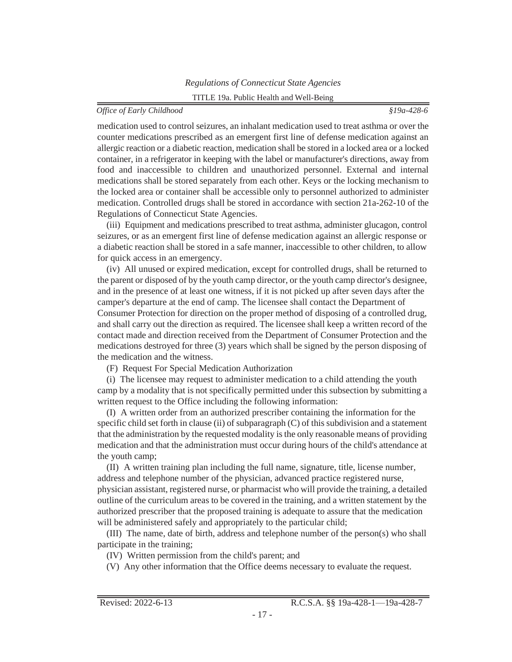## *Office of Early Childhood §19a-428-6*

medication used to control seizures, an inhalant medication used to treat asthma or over the counter medications prescribed as an emergent first line of defense medication against an allergic reaction or a diabetic reaction, medication shall be stored in a locked area or a locked container, in a refrigerator in keeping with the label or manufacturer's directions, away from food and inaccessible to children and unauthorized personnel. External and internal medications shall be stored separately from each other. Keys or the locking mechanism to the locked area or container shall be accessible only to personnel authorized to administer medication. Controlled drugs shall be stored in accordance with section 21a-262-10 of the Regulations of Connecticut State Agencies.

(iii) Equipment and medications prescribed to treat asthma, administer glucagon, control seizures, or as an emergent first line of defense medication against an allergic response or a diabetic reaction shall be stored in a safe manner, inaccessible to other children, to allow for quick access in an emergency.

(iv) All unused or expired medication, except for controlled drugs, shall be returned to the parent or disposed of by the youth camp director, or the youth camp director's designee, and in the presence of at least one witness, if it is not picked up after seven days after the camper's departure at the end of camp. The licensee shall contact the Department of Consumer Protection for direction on the proper method of disposing of a controlled drug, and shall carry out the direction as required. The licensee shall keep a written record of the contact made and direction received from the Department of Consumer Protection and the medications destroyed for three (3) years which shall be signed by the person disposing of the medication and the witness.

(F) Request For Special Medication Authorization

(i) The licensee may request to administer medication to a child attending the youth camp by a modality that is not specifically permitted under this subsection by submitting a written request to the Office including the following information:

(I) A written order from an authorized prescriber containing the information for the specific child set forth in clause (ii) of subparagraph (C) of this subdivision and a statement that the administration by the requested modality isthe only reasonable means of providing medication and that the administration must occur during hours of the child's attendance at the youth camp;

(II) A written training plan including the full name, signature, title, license number, address and telephone number of the physician, advanced practice registered nurse, physician assistant, registered nurse, or pharmacist who will provide the training, a detailed outline of the curriculum areas to be covered in the training, and a written statement by the authorized prescriber that the proposed training is adequate to assure that the medication will be administered safely and appropriately to the particular child;

(III) The name, date of birth, address and telephone number of the person(s) who shall participate in the training;

- (IV) Written permission from the child's parent; and
- (V) Any other information that the Office deems necessary to evaluate the request.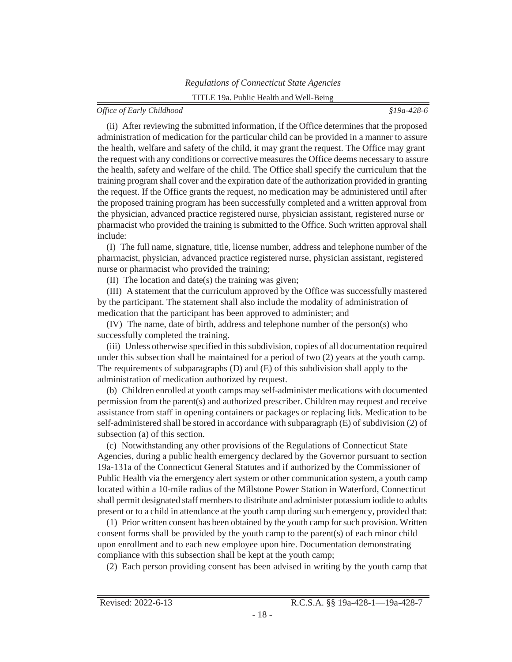(ii) After reviewing the submitted information, if the Office determines that the proposed administration of medication for the particular child can be provided in a manner to assure the health, welfare and safety of the child, it may grant the request. The Office may grant the request with any conditions or corrective measuresthe Office deems necessary to assure the health, safety and welfare of the child. The Office shall specify the curriculum that the training program shall cover and the expiration date of the authorization provided in granting the request. If the Office grants the request, no medication may be administered until after the proposed training program has been successfully completed and a written approval from the physician, advanced practice registered nurse, physician assistant, registered nurse or pharmacist who provided the training is submitted to the Office. Such written approval shall include:

(I) The full name, signature, title, license number, address and telephone number of the pharmacist, physician, advanced practice registered nurse, physician assistant, registered nurse or pharmacist who provided the training;

(II) The location and date(s) the training was given;

(III) A statement that the curriculum approved by the Office was successfully mastered by the participant. The statement shall also include the modality of administration of medication that the participant has been approved to administer; and

(IV) The name, date of birth, address and telephone number of the person(s) who successfully completed the training.

(iii) Unless otherwise specified in thissubdivision, copies of all documentation required under this subsection shall be maintained for a period of two (2) years at the youth camp. The requirements of subparagraphs (D) and (E) of this subdivision shall apply to the administration of medication authorized by request.

(b) Children enrolled at youth camps may self-administer medications with documented permission from the parent(s) and authorized prescriber. Children may request and receive assistance from staff in opening containers or packages or replacing lids. Medication to be self-administered shall be stored in accordance with subparagraph (E) of subdivision (2) of subsection (a) of this section.

(c) Notwithstanding any other provisions of the Regulations of Connecticut State Agencies, during a public health emergency declared by the Governor pursuant to section 19a-131a of the Connecticut General Statutes and if authorized by the Commissioner of Public Health via the emergency alert system or other communication system, a youth camp located within a 10-mile radius of the Millstone Power Station in Waterford, Connecticut shall permit designated staff members to distribute and administer potassium iodide to adults present or to a child in attendance at the youth camp during such emergency, provided that:

(1) Prior written consent has been obtained by the youth camp forsuch provision. Written consent forms shall be provided by the youth camp to the parent(s) of each minor child upon enrollment and to each new employee upon hire. Documentation demonstrating compliance with this subsection shall be kept at the youth camp;

(2) Each person providing consent has been advised in writing by the youth camp that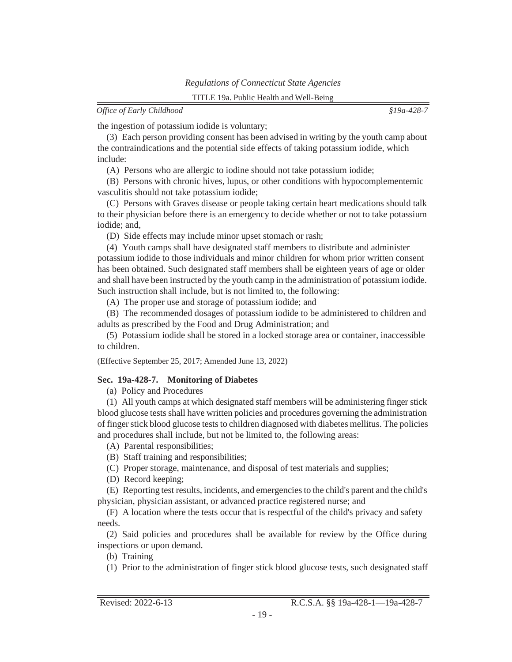<span id="page-30-0"></span>the ingestion of potassium iodide is voluntary;

(3) Each person providing consent has been advised in writing by the youth camp about the contraindications and the potential side effects of taking potassium iodide, which include:

(A) Persons who are allergic to iodine should not take potassium iodide;

(B) Persons with chronic hives, lupus, or other conditions with hypocomplementemic vasculitis should not take potassium iodide;

(C) Persons with Graves disease or people taking certain heart medications should talk to their physician before there is an emergency to decide whether or not to take potassium iodide; and,

(D) Side effects may include minor upset stomach or rash;

(4) Youth camps shall have designated staff members to distribute and administer potassium iodide to those individuals and minor children for whom prior written consent has been obtained. Such designated staff members shall be eighteen years of age or older and shall have been instructed by the youth camp in the administration of potassium iodide. Such instruction shall include, but is not limited to, the following:

(A) The proper use and storage of potassium iodide; and

(B) The recommended dosages of potassium iodide to be administered to children and adults as prescribed by the Food and Drug Administration; and

(5) Potassium iodide shall be stored in a locked storage area or container, inaccessible to children.

(Effective September 25, 2017; Amended June 13, 2022)

# **Sec. 19a-428-7. Monitoring of Diabetes**

(a) Policy and Procedures

(1) All youth camps at which designated staff members will be administering finger stick blood glucose tests shall have written policies and procedures governing the administration of fingerstick blood glucose teststo children diagnosed with diabetes mellitus. The policies and procedures shall include, but not be limited to, the following areas:

(A) Parental responsibilities;

- (B) Staff training and responsibilities;
- (C) Proper storage, maintenance, and disposal of test materials and supplies;

(D) Record keeping;

(E) Reporting test results, incidents, and emergenciesto the child's parent and the child's physician, physician assistant, or advanced practice registered nurse; and

(F) A location where the tests occur that is respectful of the child's privacy and safety needs.

(2) Said policies and procedures shall be available for review by the Office during inspections or upon demand.

(b) Training

(1) Prior to the administration of finger stick blood glucose tests, such designated staff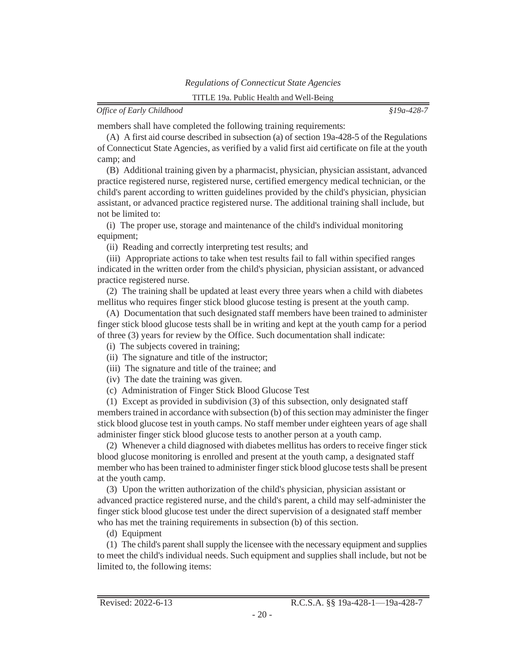members shall have completed the following training requirements:

(A) A first aid course described in subsection (a) of section 19a-428-5 of the Regulations of Connecticut State Agencies, as verified by a valid first aid certificate on file at the youth camp; and

(B) Additional training given by a pharmacist, physician, physician assistant, advanced practice registered nurse, registered nurse, certified emergency medical technician, or the child's parent according to written guidelines provided by the child's physician, physician assistant, or advanced practice registered nurse. The additional training shall include, but not be limited to:

(i) The proper use, storage and maintenance of the child's individual monitoring equipment;

(ii) Reading and correctly interpreting test results; and

(iii) Appropriate actions to take when test results fail to fall within specified ranges indicated in the written order from the child's physician, physician assistant, or advanced practice registered nurse.

(2) The training shall be updated at least every three years when a child with diabetes mellitus who requires finger stick blood glucose testing is present at the youth camp.

(A) Documentation that such designated staff members have been trained to administer finger stick blood glucose tests shall be in writing and kept at the youth camp for a period of three (3) years for review by the Office. Such documentation shall indicate:

(i) The subjects covered in training;

- (ii) The signature and title of the instructor;
- (iii) The signature and title of the trainee; and
- (iv) The date the training was given.
- (c) Administration of Finger Stick Blood Glucose Test

(1) Except as provided in subdivision (3) of this subsection, only designated staff members trained in accordance with subsection (b) of this section may administer the finger stick blood glucose test in youth camps. No staff member under eighteen years of age shall administer finger stick blood glucose tests to another person at a youth camp.

(2) Whenever a child diagnosed with diabetes mellitus has orders to receive finger stick blood glucose monitoring is enrolled and present at the youth camp, a designated staff member who has been trained to administer finger stick blood glucose testsshall be present at the youth camp.

(3) Upon the written authorization of the child's physician, physician assistant or advanced practice registered nurse, and the child's parent, a child may self-administer the finger stick blood glucose test under the direct supervision of a designated staff member who has met the training requirements in subsection (b) of this section.

(d) Equipment

(1) The child's parentshallsupply the licensee with the necessary equipment and supplies to meet the child's individual needs. Such equipment and supplies shall include, but not be limited to, the following items: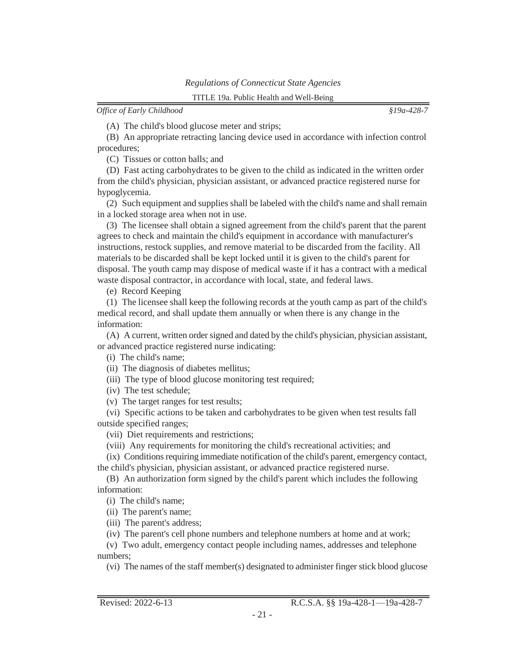(A) The child's blood glucose meter and strips;

(B) An appropriate retracting lancing device used in accordance with infection control procedures;

(C) Tissues or cotton balls; and

(D) Fast acting carbohydrates to be given to the child as indicated in the written order from the child's physician, physician assistant, or advanced practice registered nurse for hypoglycemia.

(2) Such equipment and supplies shall be labeled with the child's name and shall remain in a locked storage area when not in use.

(3) The licensee shall obtain a signed agreement from the child's parent that the parent agrees to check and maintain the child's equipment in accordance with manufacturer's instructions, restock supplies, and remove material to be discarded from the facility. All materials to be discarded shall be kept locked until it is given to the child's parent for disposal. The youth camp may dispose of medical waste if it has a contract with a medical waste disposal contractor, in accordance with local, state, and federal laws.

(e) Record Keeping

(1) The licensee shall keep the following records at the youth camp as part of the child's medical record, and shall update them annually or when there is any change in the information:

(A) A current, written ordersigned and dated by the child's physician, physician assistant, or advanced practice registered nurse indicating:

(i) The child's name;

(ii) The diagnosis of diabetes mellitus;

(iii) The type of blood glucose monitoring test required;

(iv) The test schedule;

(v) The target ranges for test results;

(vi) Specific actions to be taken and carbohydrates to be given when test results fall outside specified ranges;

(vii) Diet requirements and restrictions;

(viii) Any requirements for monitoring the child's recreational activities; and

(ix) Conditionsrequiring immediate notification of the child's parent, emergency contact, the child's physician, physician assistant, or advanced practice registered nurse.

(B) An authorization form signed by the child's parent which includes the following information:

(i) The child's name;

(ii) The parent's name;

(iii) The parent's address;

(iv) The parent's cell phone numbers and telephone numbers at home and at work;

(v) Two adult, emergency contact people including names, addresses and telephone numbers;

(vi) The names of the staff member(s) designated to administer finger stick blood glucose